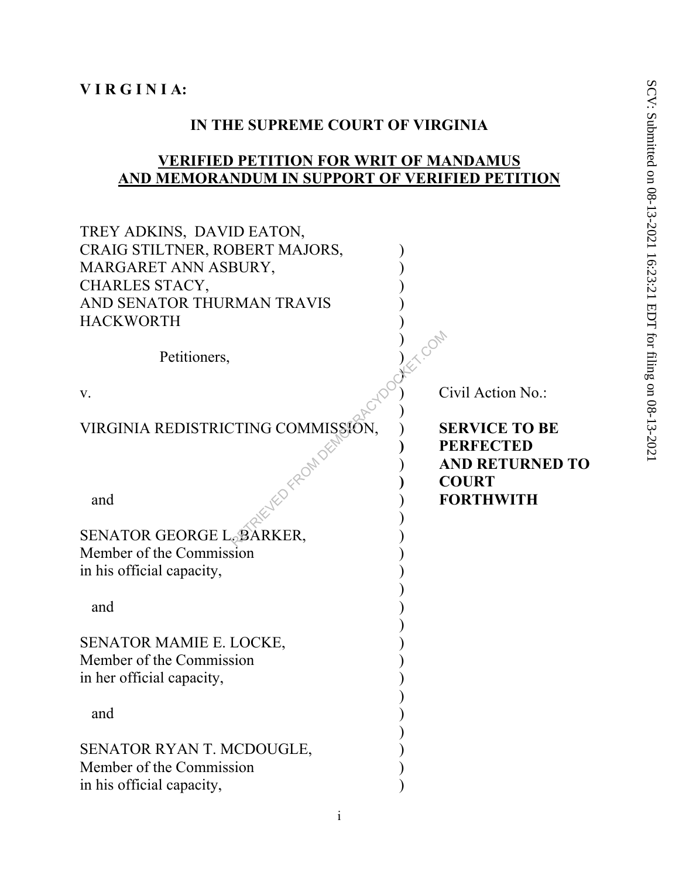#### **IN THE SUPREME COURT OF VIRGINIA**

#### **VERIFIED PETITION FOR WRIT OF MANDAMUS AND MEMORANDUM IN SUPPORT OF VERIFIED PETITION**

| TREY ADKINS, DAVID EATON,          |                        |
|------------------------------------|------------------------|
| CRAIG STILTNER, ROBERT MAJORS,     |                        |
| MARGARET ANN ASBURY,               |                        |
| CHARLES STACY,                     |                        |
| AND SENATOR THURMAN TRAVIS         |                        |
| <b>HACKWORTH</b>                   |                        |
| Petitioners,                       | NEV COM                |
| V.                                 | Civil Action No.:      |
| VIRGINIA REDISTRICTING COMMISSION, | <b>SERVICE TO BE</b>   |
| VED FROM DEN                       | <b>PERFECTED</b>       |
|                                    | <b>AND RETURNED TO</b> |
|                                    | <b>COURT</b>           |
| and                                | <b>FORTHWITH</b>       |
|                                    |                        |
| SENATOR GEORGE L. BARKER,          |                        |
| Member of the Commission           |                        |
| in his official capacity,          |                        |
|                                    |                        |
| and                                |                        |
|                                    |                        |
| <b>SENATOR MAMIE E. LOCKE,</b>     |                        |
| Member of the Commission           |                        |
| in her official capacity,          |                        |
|                                    |                        |
| and                                |                        |
| SENATOR RYAN T. MCDOUGLE,          |                        |
| Member of the Commission           |                        |
| in his official capacity,          |                        |
|                                    |                        |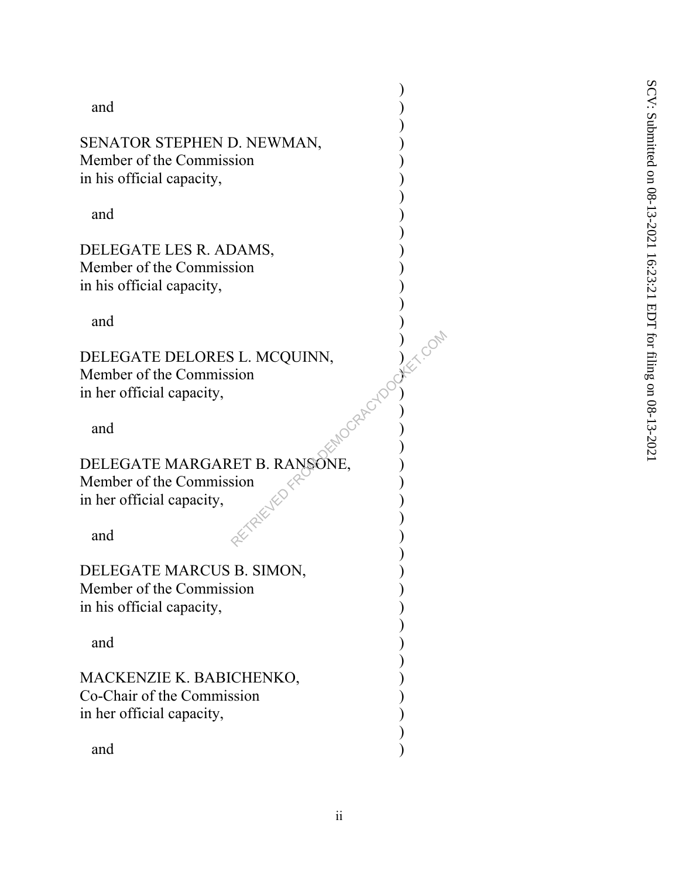and )

SENATOR STEPHEN D. NEWMAN, Member of the Commission ) in his official capacity,

 $\overline{\phantom{a}}$ 

 $\overline{\phantom{a}}$ 

 $\overline{\phantom{a}}$ 

 $\overline{\phantom{a}}$ 

 $\overline{\phantom{a}}$ 

 $\overline{\phantom{a}}$ 

 $\mathbb{R}^{\mathbb{C}^{\times}}$ 

 $\mathbb{R}^N$  )

 $\alpha^{(k)}$  )

 $\left( \begin{array}{c} 1 & 0 \\ 0 & 1 \end{array} \right)$ 

 $\overline{\phantom{a}}$ 

 $\overline{\phantom{a}}$ 

and )

DELEGATE LES R. ADAMS, Member of the Commission ) in his official capacity,

and )

DELEGATE DELORES L. MCQUINN, Member of the Commission ) in her official capacity,

and  $\mathcal{O}^{\mathcal{O}}$  )

DELEGATE MARGARET B. RANSONE, Member of the Commission ) in her official capacity, S. L. MCQUINN,<br>
sion<br>  $ETP$ . RANSONE,<br>
sion<br>  $\begin{pmatrix} 2e^{2\lambda^2} & 0 \\ 0 & 1 \end{pmatrix}$ <br>  $\begin{pmatrix} 2e^{\lambda^2} & 0 \\ 0 & 1 \end{pmatrix}$ <br>  $\begin{pmatrix} 2e^{\lambda^2} & 0 \\ 0 & 1 \end{pmatrix}$ 

and  $\alpha$  )

DELEGATE MARCUS B. SIMON, Member of the Commission ) in his official capacity,  $\overline{\phantom{a}}$ 

and )

MACKENZIE K. BABICHENKO, ) Co-Chair of the Commission ) in her official capacity,

and )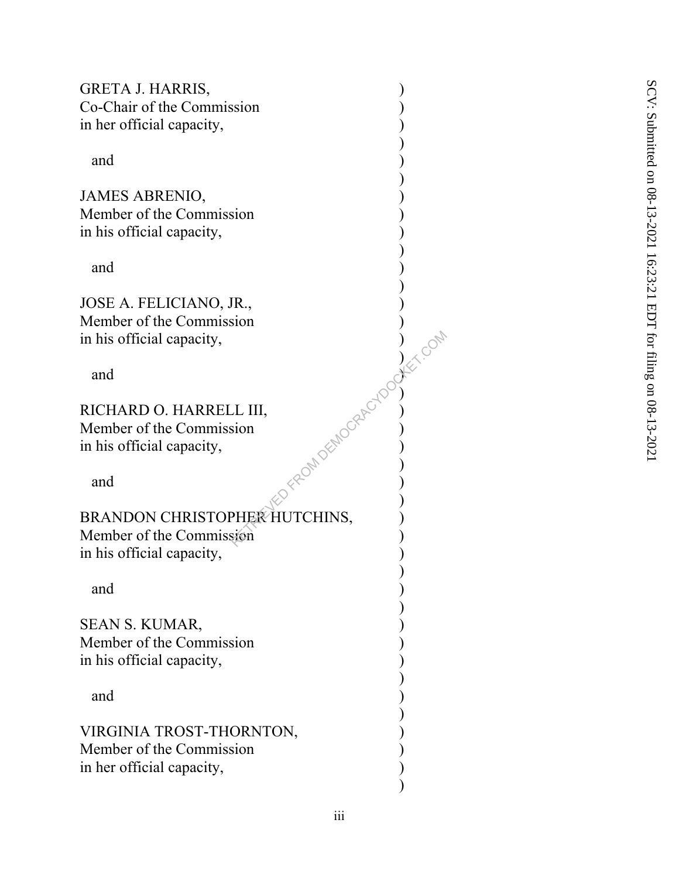GRETA J. HARRIS, Co-Chair of the Commission ) in her official capacity,

 $\overline{\phantom{a}}$ 

 $\overline{\phantom{a}}$ 

 $\overline{\phantom{a}}$ 

 $\overline{\phantom{a}}$ 

 $\left( \begin{array}{c} 1 \end{array} \right)$ 

 $\mathcal{O}(\sqrt{2})$ 

 $\mathbb{R}^{\mathbb{N}}$  )

 $\mathbb{R}^{\vee}$  )

 $\overline{\phantom{a}}$ 

 $\overline{\phantom{a}}$ 

 $\overline{\phantom{a}}$ 

 $\overline{\phantom{a}}$ 

and )

JAMES ABRENIO, Member of the Commission ) in his official capacity,

and )

JOSE A. FELICIANO, JR., Member of the Commission ) in his official capacity,

and  $\qquad \qquad \qquad \rightarrow$ 

RICHARD O. HARRELL III, ) Member of the Commission ) in his official capacity,

and  $\langle \hat{z}^2 \rangle$  )

BRANDON CHRISTOPHER HUTCHINS, Member of the Commission ) in his official capacity, RETRIEVED COMPANY COMPANY

and )

SEAN S. KUMAR, Member of the Commission ) in his official capacity,

and )

VIRGINIA TROST-THORNTON, ) Member of the Commission ) in her official capacity,  $\overline{\phantom{a}}$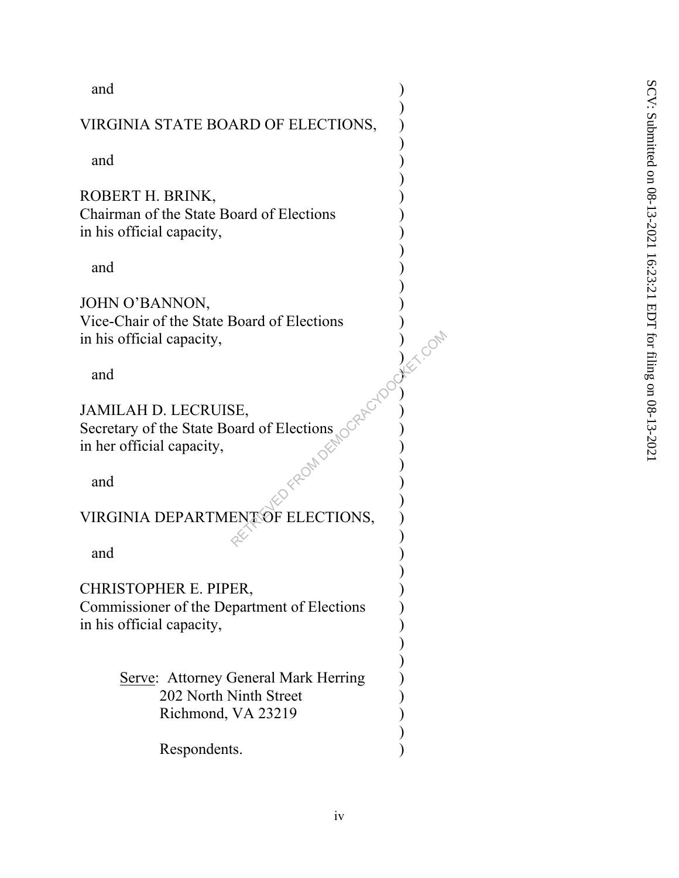and )

### VIRGINIA STATE BOARD OF ELECTIONS, )

 $\overline{\phantom{a}}$ 

 $\overline{\phantom{a}}$ 

 $\overline{\phantom{a}}$ 

 $\overline{\phantom{a}}$ 

 $\overline{\phantom{a}}$ 

 $\left( \begin{array}{c} 1 \end{array} \right)$ 

 $\mathcal{O}(\sqrt{2})$ 

 $\mathbb{R}^{\mathbb{N}}$  )

 $\mathbb{R}^{\vee}$  )

 $\alpha$  )

 $\overline{\phantom{a}}$ 

and )

ROBERT H. BRINK, ) Chairman of the State Board of Elections ) in his official capacity,

and )

JOHN O'BANNON, Vice-Chair of the State Board of Elections ) in his official capacity,

and  $\qquad \qquad \qquad \rightarrow$ 

JAMILAH D. LECRUISE, ) Secretary of the State Board of Elections ) in her official capacity, RETRIEVED FROM DEMOCRACY COMPANY COMPANY

and  $\langle \hat{z}^2 \rangle$  )

VIRGINIA DEPARTMENT OF ELECTIONS,

and )

CHRISTOPHER E. PIPER, )

Commissioner of the Department of Elections ) in his official capacity,

> Serve: Attorney General Mark Herring 202 North Ninth Street Richmond, VA 23219

> > $)$

 $\overline{\phantom{a}}$  $\overline{\phantom{a}}$ 

Respondents.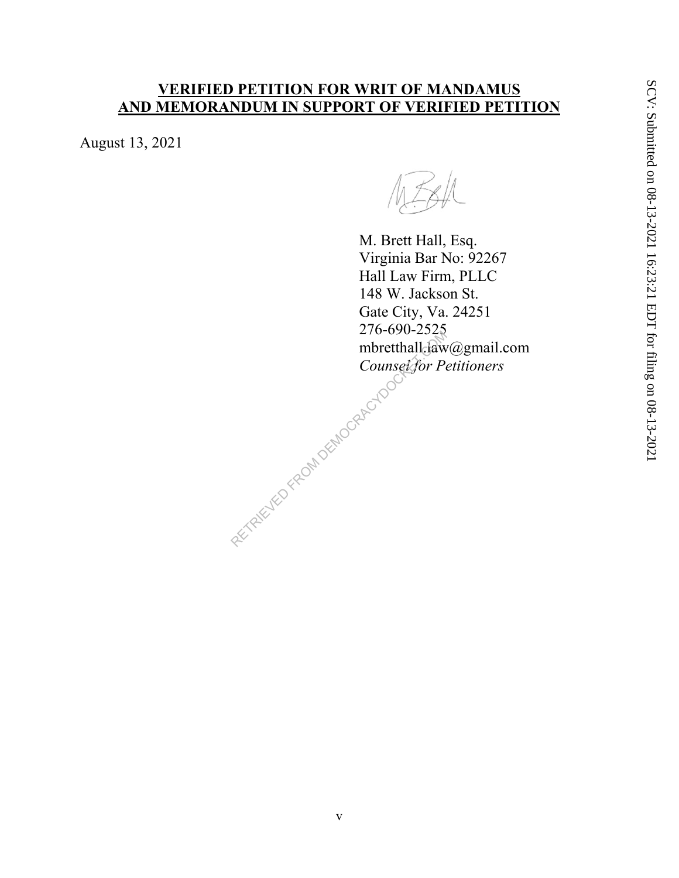### **VERIFIED PETITION FOR WRIT OF MANDAMUS AND MEMORANDUM IN SUPPORT OF VERIFIED PETITION**

August 13, 2021

M. Brett Hall, Esq. Virginia Bar No: 92267 Hall Law Firm, PLLC 148 W. Jackson St. Gate City, Va. 24251 276-690-2525 mbretthall.law@gmail.com *Counsel for Petitioners*  RETRIEVED FROM DEMOCRACYDOCK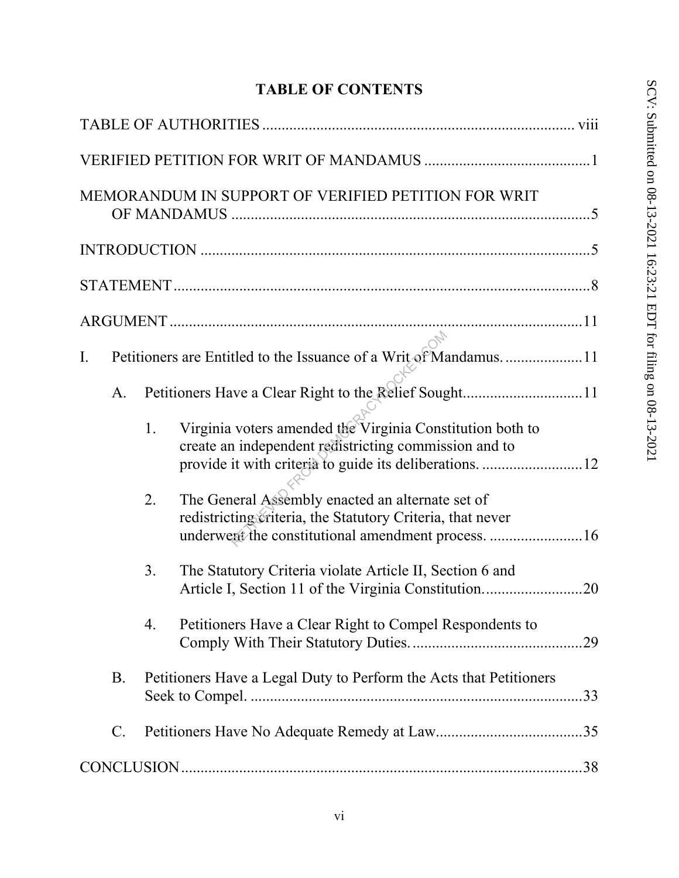# **TABLE OF CONTENTS**

| MEMORANDUM IN SUPPORT OF VERIFIED PETITION FOR WRIT                                                                                                                                 |
|-------------------------------------------------------------------------------------------------------------------------------------------------------------------------------------|
|                                                                                                                                                                                     |
|                                                                                                                                                                                     |
|                                                                                                                                                                                     |
| Ι.                                                                                                                                                                                  |
| A.                                                                                                                                                                                  |
| Virginia voters amended the Virginia Constitution both to<br>1.<br>create an independent redistricting commission and to<br>provide it with criteria to guide its deliberations. 12 |
| The General Assembly enacted an alternate set of<br>2.<br>redistricting criteria, the Statutory Criteria, that never<br>underwent the constitutional amendment process.  16         |
| The Statutory Criteria violate Article II, Section 6 and<br>3.                                                                                                                      |
| Petitioners Have a Clear Right to Compel Respondents to<br>4.<br>.29                                                                                                                |
| <b>B.</b><br>Petitioners Have a Legal Duty to Perform the Acts that Petitioners<br>.33                                                                                              |
| $\mathcal{C}$ .                                                                                                                                                                     |
|                                                                                                                                                                                     |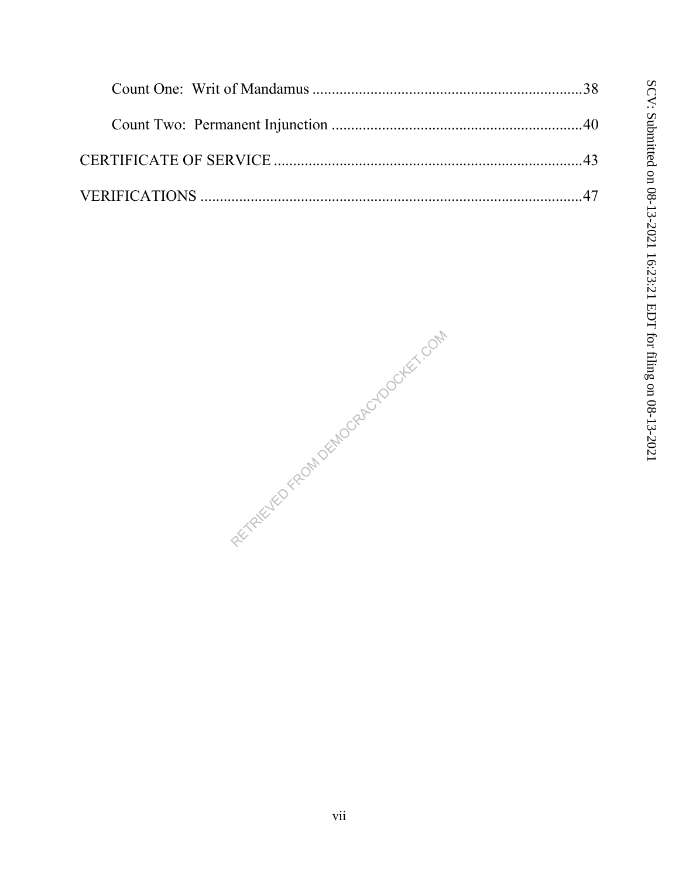RETRIEVED FROM DEMOCRACYDOCKET.COM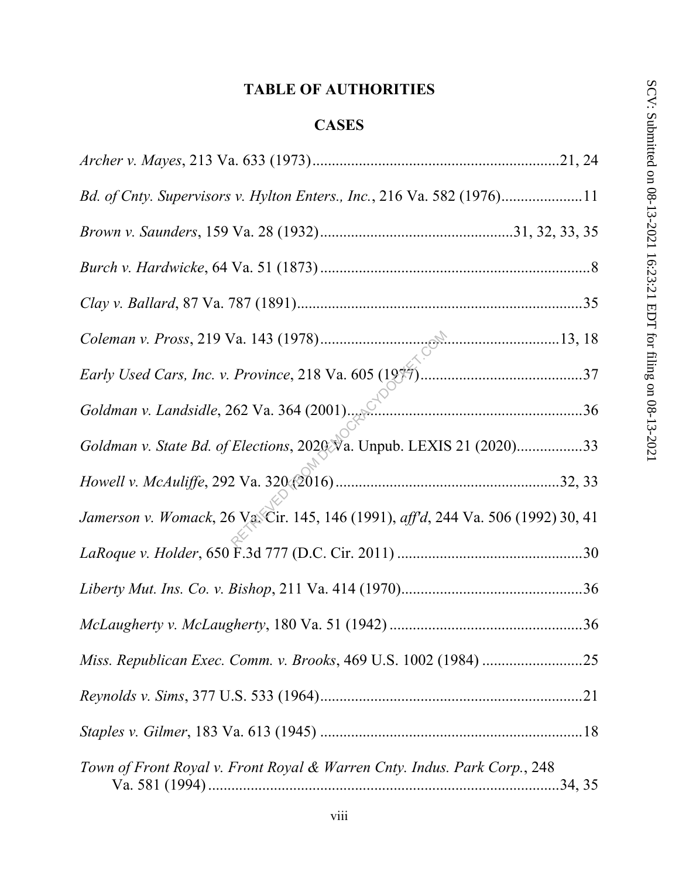# **TABLE OF AUTHORITIES**

# **CASES**

| Bd. of Cnty. Supervisors v. Hylton Enters., Inc., 216 Va. 582 (1976)11            |
|-----------------------------------------------------------------------------------|
|                                                                                   |
|                                                                                   |
|                                                                                   |
|                                                                                   |
|                                                                                   |
| Goldman v. Landsidle, 262 Va. 364 (2001).                                         |
| Goldman v. State Bd. of Elections, 2020 Va. Unpub. LEXIS 21 (2020)33              |
|                                                                                   |
| Jamerson v. Womack, 26 Va. Cir. 145, 146 (1991), aff'd, 244 Va. 506 (1992) 30, 41 |
|                                                                                   |
|                                                                                   |
|                                                                                   |
|                                                                                   |
|                                                                                   |
|                                                                                   |
| Town of Front Royal v. Front Royal & Warren Cnty. Indus. Park Corp., 248          |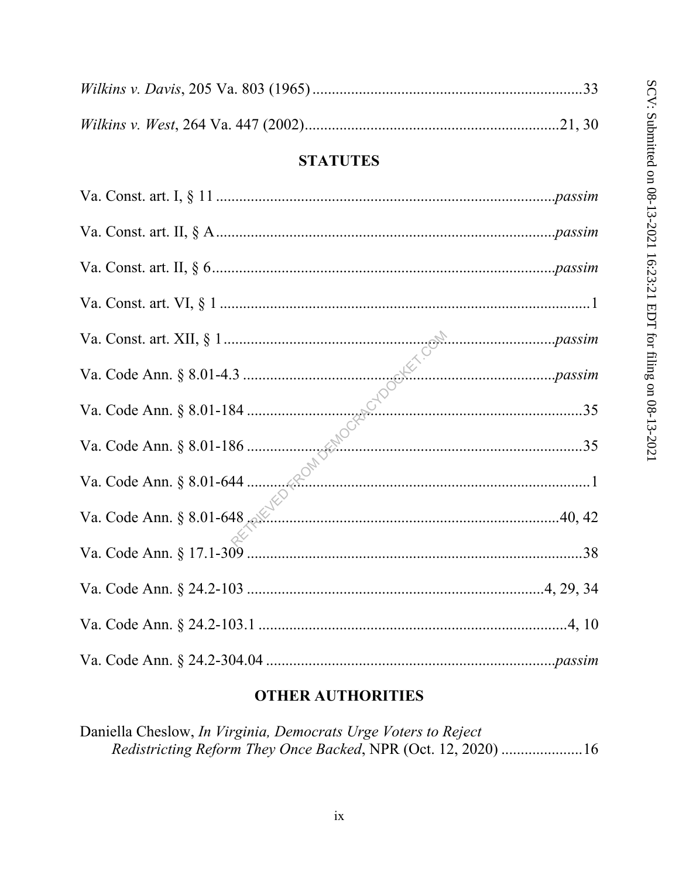### **STATUTES**

| Va. Code Ann. § 8.01-648. |  |
|---------------------------|--|
|                           |  |
|                           |  |
|                           |  |
|                           |  |

#### **OTHER AUTHORITIES**

Daniella Cheslow, In Virginia, Democrats Urge Voters to Reject Redistricting Reform They Once Backed, NPR (Oct. 12, 2020) ....................16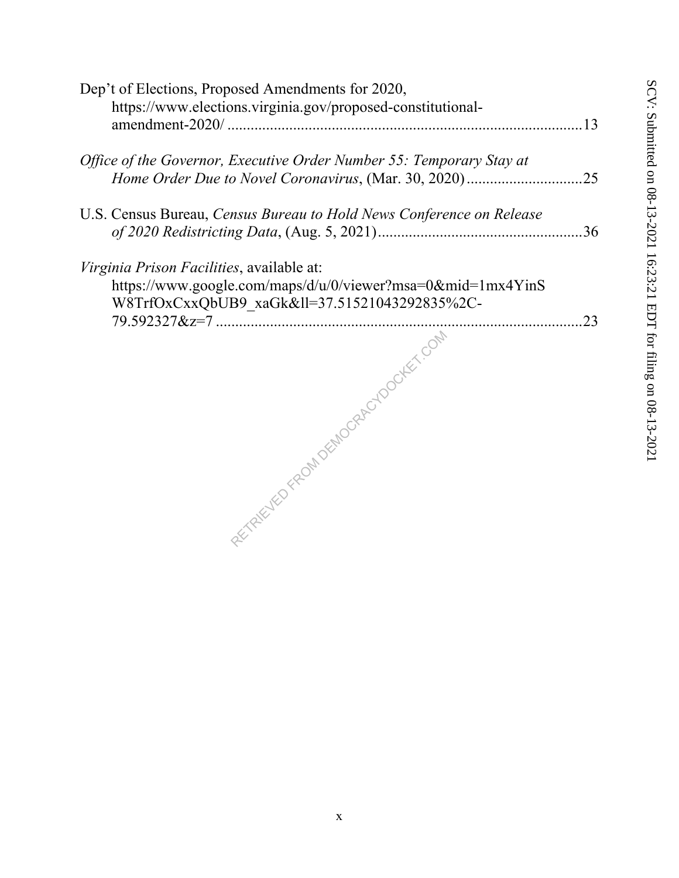| Dep't of Elections, Proposed Amendments for 2020,                                                                                                    |  |
|------------------------------------------------------------------------------------------------------------------------------------------------------|--|
| https://www.elections.virginia.gov/proposed-constitutional-                                                                                          |  |
| Office of the Governor, Executive Order Number 55: Temporary Stay at                                                                                 |  |
| U.S. Census Bureau, Census Bureau to Hold News Conference on Release                                                                                 |  |
| Virginia Prison Facilities, available at:<br>https://www.google.com/maps/d/u/0/viewer?msa=0∣=1mx4YinS<br>W8TrfOxCxxQbUB9_xaGk≪=37.51521043292835%2C- |  |
| RETAILLY FROM DEMOCRAPING TOOLEET FORM                                                                                                               |  |
|                                                                                                                                                      |  |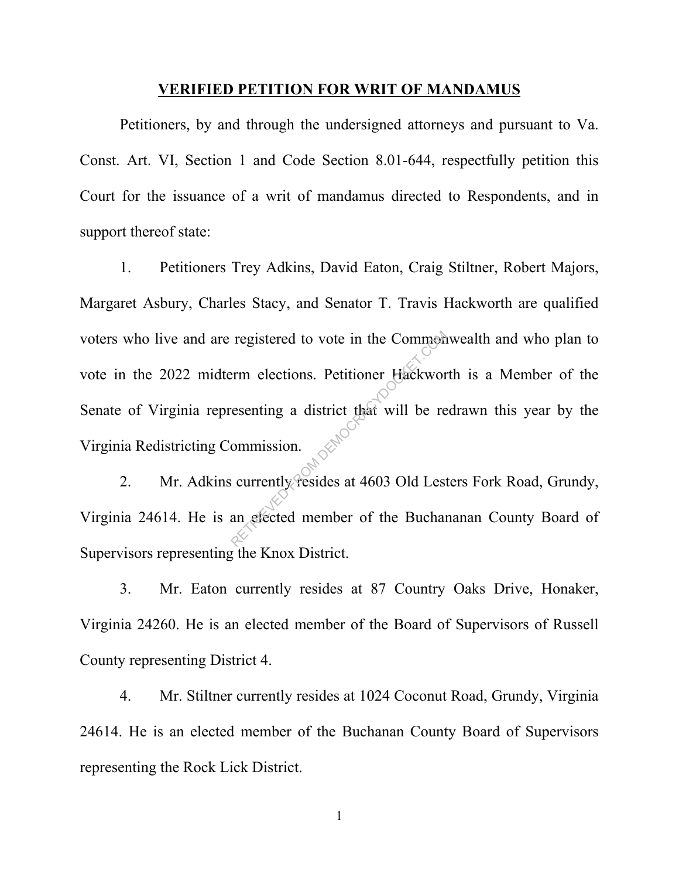#### **VERIFIED PETITION FOR WRIT OF MANDAMUS**

 Petitioners, by and through the undersigned attorneys and pursuant to Va. Const. Art. VI, Section 1 and Code Section 8.01-644, respectfully petition this Court for the issuance of a writ of mandamus directed to Respondents, and in support thereof state:

1. Petitioners Trey Adkins, David Eaton, Craig Stiltner, Robert Majors, Margaret Asbury, Charles Stacy, and Senator T. Travis Hackworth are qualified voters who live and are registered to vote in the Commonwealth and who plan to vote in the 2022 midterm elections. Petitioner Hackworth is a Member of the Senate of Virginia representing a district that will be redrawn this year by the Virginia Redistricting Commission. registered to vote in the Common<br>erm elections. Petitioner Hackwor<br>resenting a district that will be re<br>ommission.<br>currently resides at 4603 Old Lest<br>an elected member of the Buchan

2. Mr. Adkins currently resides at 4603 Old Lesters Fork Road, Grundy, Virginia 24614. He is an elected member of the Buchananan County Board of Supervisors representing the Knox District.

3. Mr. Eaton currently resides at 87 Country Oaks Drive, Honaker, Virginia 24260. He is an elected member of the Board of Supervisors of Russell County representing District 4.

4. Mr. Stiltner currently resides at 1024 Coconut Road, Grundy, Virginia 24614. He is an elected member of the Buchanan County Board of Supervisors representing the Rock Lick District.

1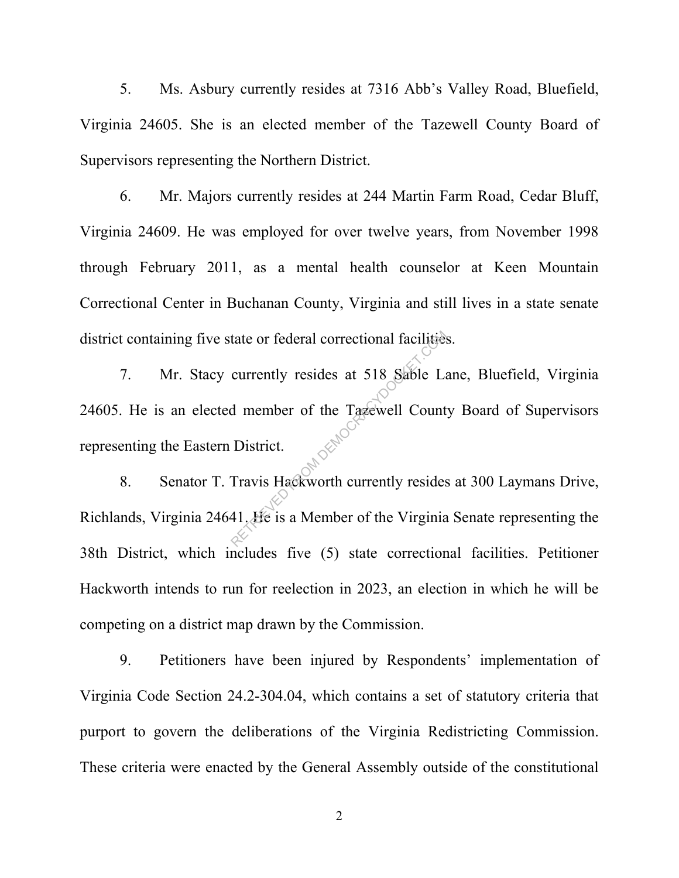5. Ms. Asbury currently resides at 7316 Abb's Valley Road, Bluefield, Virginia 24605. She is an elected member of the Tazewell County Board of Supervisors representing the Northern District.

6. Mr. Majors currently resides at 244 Martin Farm Road, Cedar Bluff, Virginia 24609. He was employed for over twelve years, from November 1998 through February 2011, as a mental health counselor at Keen Mountain Correctional Center in Buchanan County, Virginia and still lives in a state senate district containing five state or federal correctional facilities.

7. Mr. Stacy currently resides at 518 Sable Lane, Bluefield, Virginia 24605. He is an elected member of the Tazewell County Board of Supervisors representing the Eastern District. tate or federal correctional facilities<br>
currently resides at 518 Sable La<br>
d member of the Tagewell Count<br>
District.<br>
Travis Hackworth currently resides<br>
41. He is a Member of the Virginia

8. Senator T. Travis Hackworth currently resides at 300 Laymans Drive, Richlands, Virginia 24641. He is a Member of the Virginia Senate representing the 38th District, which includes five (5) state correctional facilities. Petitioner Hackworth intends to run for reelection in 2023, an election in which he will be competing on a district map drawn by the Commission.

9. Petitioners have been injured by Respondents' implementation of Virginia Code Section 24.2-304.04, which contains a set of statutory criteria that purport to govern the deliberations of the Virginia Redistricting Commission. These criteria were enacted by the General Assembly outside of the constitutional

2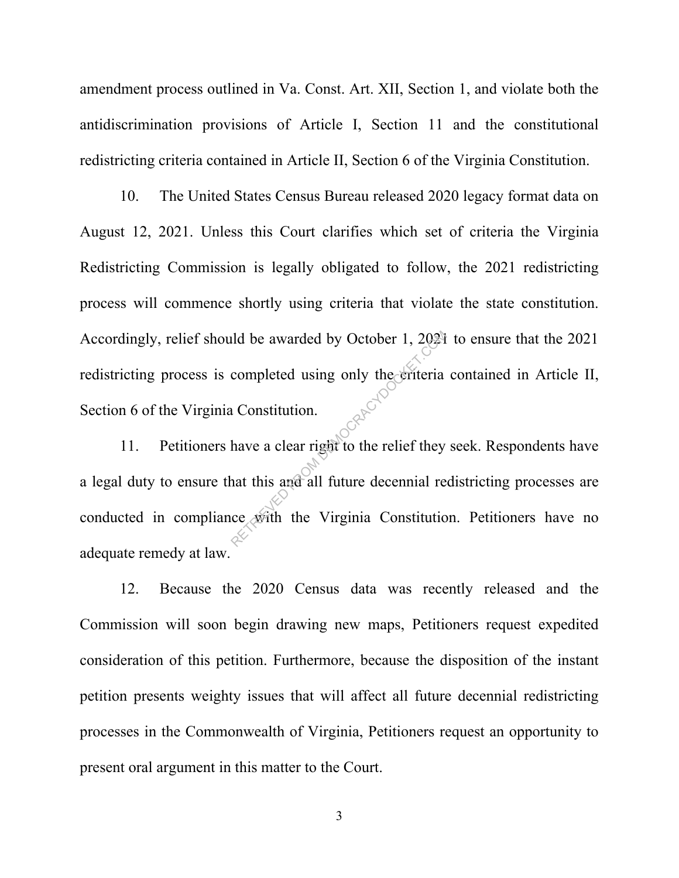amendment process outlined in Va. Const. Art. XII, Section 1, and violate both the antidiscrimination provisions of Article I, Section 11 and the constitutional redistricting criteria contained in Article II, Section 6 of the Virginia Constitution.

10. The United States Census Bureau released 2020 legacy format data on August 12, 2021. Unless this Court clarifies which set of criteria the Virginia Redistricting Commission is legally obligated to follow, the 2021 redistricting process will commence shortly using criteria that violate the state constitution. Accordingly, relief should be awarded by October 1, 2021 to ensure that the 2021 redistricting process is completed using only the criteria contained in Article II, Section 6 of the Virginia Constitution.

11. Petitioners have a clear right to the relief they seek. Respondents have a legal duty to ensure that this and all future decennial redistricting processes are conducted in compliance with the Virginia Constitution. Petitioners have no adequate remedy at law. ald be awarded by October 1, 2021<br>
completed using only the eriteria<br>
a Constitution.<br>
have a clear right to the relief they<br>
and all future decennial re<br>
ce givith the Virginia Constitution

12. Because the 2020 Census data was recently released and the Commission will soon begin drawing new maps, Petitioners request expedited consideration of this petition. Furthermore, because the disposition of the instant petition presents weighty issues that will affect all future decennial redistricting processes in the Commonwealth of Virginia, Petitioners request an opportunity to present oral argument in this matter to the Court.

3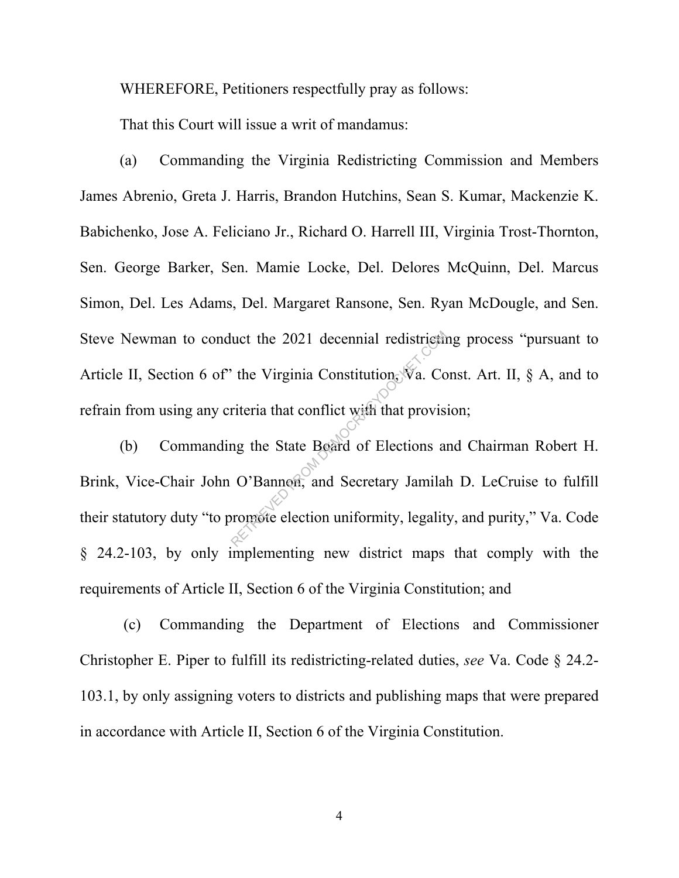WHEREFORE, Petitioners respectfully pray as follows:

That this Court will issue a writ of mandamus:

(a) Commanding the Virginia Redistricting Commission and Members James Abrenio, Greta J. Harris, Brandon Hutchins, Sean S. Kumar, Mackenzie K. Babichenko, Jose A. Feliciano Jr., Richard O. Harrell III, Virginia Trost-Thornton, Sen. George Barker, Sen. Mamie Locke, Del. Delores McQuinn, Del. Marcus Simon, Del. Les Adams, Del. Margaret Ransone, Sen. Ryan McDougle, and Sen. Steve Newman to conduct the 2021 decennial redistricting process "pursuant to Article II, Section 6 of" the Virginia Constitution,  $\mathbb{V}_a$ . Const. Art. II, § A, and to refrain from using any criteria that conflict with that provision;

(b) Commanding the State Board of Elections and Chairman Robert H. Brink, Vice-Chair John O'Bannon, and Secretary Jamilah D. LeCruise to fulfill their statutory duty "to promote election uniformity, legality, and purity," Va. Code § 24.2-103, by only implementing new district maps that comply with the requirements of Article II, Section 6 of the Virginia Constitution; and Nuct the 2021 decennial redistriction<br>
The Virginia Constitution, Va. Constitution<br>
The Virginia Constitution, Va. Constitution<br>
In the State Board of Elections as<br>
C'Bannon, and Secretary Jamilal<br>
Promote election uniform

 (c) Commanding the Department of Elections and Commissioner Christopher E. Piper to fulfill its redistricting-related duties, *see* Va. Code § 24.2- 103.1, by only assigning voters to districts and publishing maps that were prepared in accordance with Article II, Section 6 of the Virginia Constitution.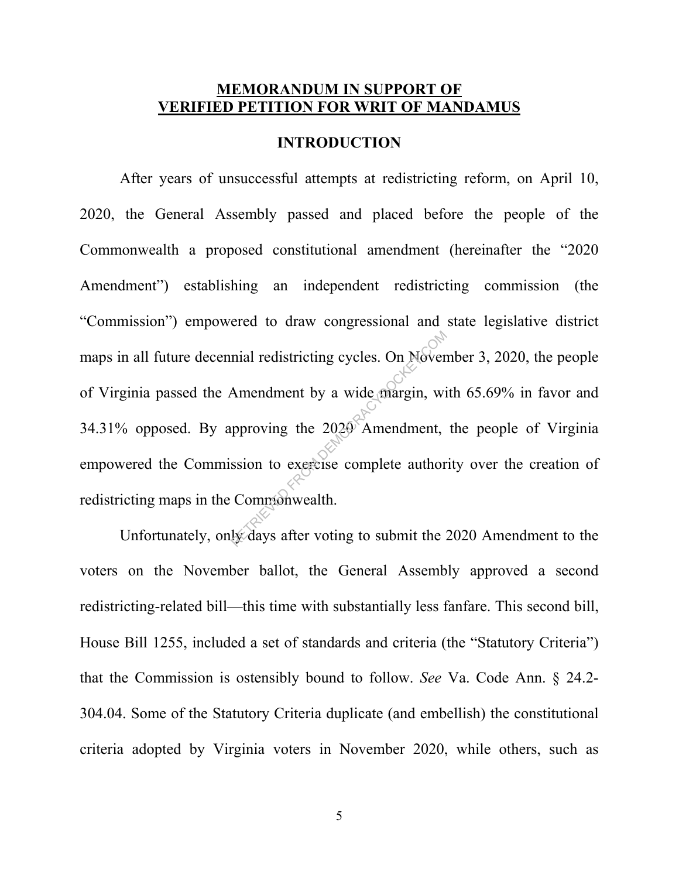#### **MEMORANDUM IN SUPPORT OF VERIFIED PETITION FOR WRIT OF MANDAMUS**

#### **INTRODUCTION**

After years of unsuccessful attempts at redistricting reform, on April 10, 2020, the General Assembly passed and placed before the people of the Commonwealth a proposed constitutional amendment (hereinafter the "2020 Amendment") establishing an independent redistricting commission (the "Commission") empowered to draw congressional and state legislative district maps in all future decennial redistricting cycles. On November 3, 2020, the people of Virginia passed the Amendment by a wide margin, with 65.69% in favor and 34.31% opposed. By approving the 2020 Amendment, the people of Virginia empowered the Commission to exercise complete authority over the creation of redistricting maps in the Commonwealth. mial redistricting cycles. On Novem<br>Amendment by a wide margin, wild<br>proving the 2020 Amendment,<br>ssion to exercise complete author<br>Commonwealth.<br>Lydays after voting to submit the 2

Unfortunately, only days after voting to submit the 2020 Amendment to the voters on the November ballot, the General Assembly approved a second redistricting-related bill—this time with substantially less fanfare. This second bill, House Bill 1255, included a set of standards and criteria (the "Statutory Criteria") that the Commission is ostensibly bound to follow. *See* Va. Code Ann. § 24.2- 304.04. Some of the Statutory Criteria duplicate (and embellish) the constitutional criteria adopted by Virginia voters in November 2020, while others, such as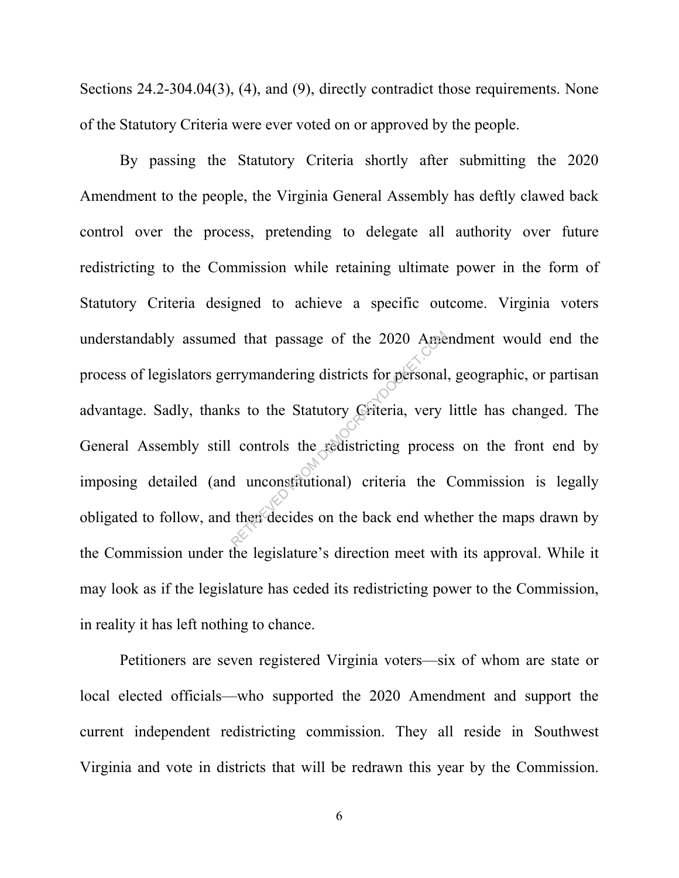Sections 24.2-304.04(3), (4), and (9), directly contradict those requirements. None of the Statutory Criteria were ever voted on or approved by the people.

By passing the Statutory Criteria shortly after submitting the 2020 Amendment to the people, the Virginia General Assembly has deftly clawed back control over the process, pretending to delegate all authority over future redistricting to the Commission while retaining ultimate power in the form of Statutory Criteria designed to achieve a specific outcome. Virginia voters understandably assumed that passage of the 2020 Amendment would end the process of legislators gerrymandering districts for personal, geographic, or partisan advantage. Sadly, thanks to the Statutory Criteria, very little has changed. The General Assembly still controls the redistricting process on the front end by imposing detailed (and unconstitutional) criteria the Commission is legally obligated to follow, and then decides on the back end whether the maps drawn by the Commission under the legislature's direction meet with its approval. While it may look as if the legislature has ceded its redistricting power to the Commission, in reality it has left nothing to chance. Trymandering districts for personal<br>rrymandering districts for personal<br>ss to the Statutory Griteria, very<br>controls the redistricting proces<br>d unconstitutional) criteria the<br>then decides on the back end whe

Petitioners are seven registered Virginia voters—six of whom are state or local elected officials—who supported the 2020 Amendment and support the current independent redistricting commission. They all reside in Southwest Virginia and vote in districts that will be redrawn this year by the Commission.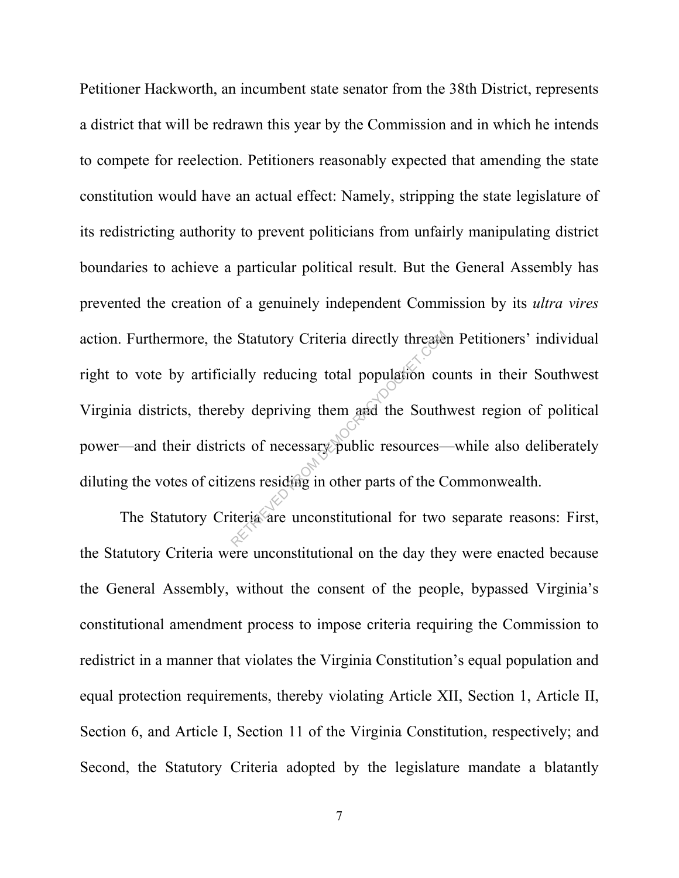Petitioner Hackworth, an incumbent state senator from the 38th District, represents a district that will be redrawn this year by the Commission and in which he intends to compete for reelection. Petitioners reasonably expected that amending the state constitution would have an actual effect: Namely, stripping the state legislature of its redistricting authority to prevent politicians from unfairly manipulating district boundaries to achieve a particular political result. But the General Assembly has prevented the creation of a genuinely independent Commission by its *ultra vires* action. Furthermore, the Statutory Criteria directly threaten Petitioners' individual right to vote by artificially reducing total population counts in their Southwest Virginia districts, thereby depriving them and the Southwest region of political power—and their districts of necessary public resources—while also deliberately diluting the votes of citizens residing in other parts of the Commonwealth. Retaining Statutory Criteria directly threated:<br>
Example in the population computed by depriving them and the South<br>
examed by depriving them and the South<br>
examences—<br>
Example in other parts of the C<br>
iteria are unconstit

The Statutory Criteria are unconstitutional for two separate reasons: First, the Statutory Criteria were unconstitutional on the day they were enacted because the General Assembly, without the consent of the people, bypassed Virginia's constitutional amendment process to impose criteria requiring the Commission to redistrict in a manner that violates the Virginia Constitution's equal population and equal protection requirements, thereby violating Article XII, Section 1, Article II, Section 6, and Article I, Section 11 of the Virginia Constitution, respectively; and Second, the Statutory Criteria adopted by the legislature mandate a blatantly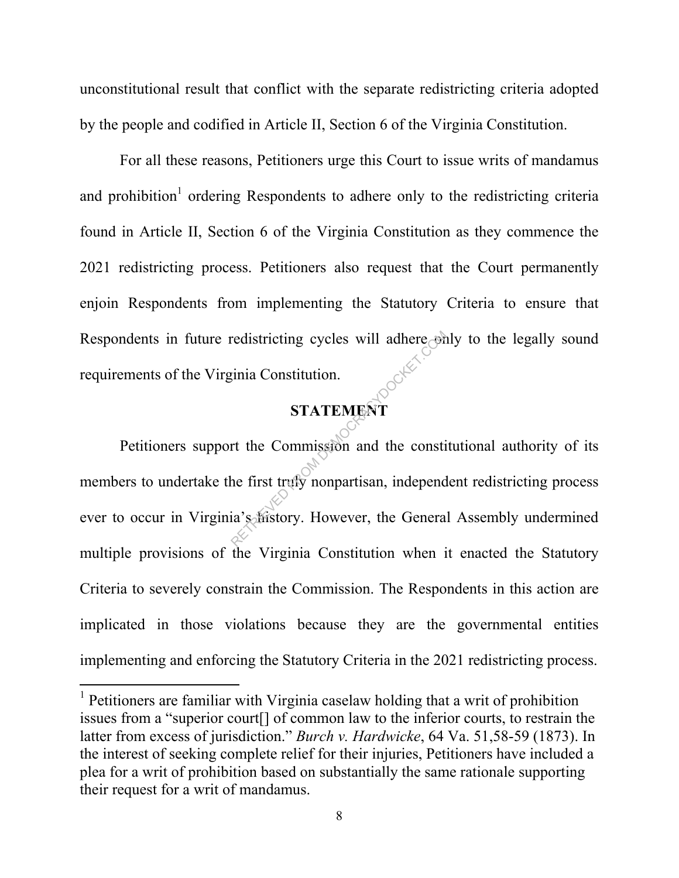unconstitutional result that conflict with the separate redistricting criteria adopted by the people and codified in Article II, Section 6 of the Virginia Constitution.

For all these reasons, Petitioners urge this Court to issue writs of mandamus and prohibition<sup>1</sup> ordering Respondents to adhere only to the redistricting criteria found in Article II, Section 6 of the Virginia Constitution as they commence the 2021 redistricting process. Petitioners also request that the Court permanently enjoin Respondents from implementing the Statutory Criteria to ensure that Respondents in future redistricting cycles will adhere only to the legally sound requirements of the Virginia Constitution.

## **STATEMENT**

 Petitioners support the Commission and the constitutional authority of its members to undertake the first truly nonpartisan, independent redistricting process ever to occur in Virginia's history. However, the General Assembly undermined multiple provisions of the Virginia Constitution when it enacted the Statutory Criteria to severely constrain the Commission. The Respondents in this action are implicated in those violations because they are the governmental entities implementing and enforcing the Statutory Criteria in the 2021 redistricting process. redistricting cycles will adhere on<br>
sTATEMENT<br>
rt the Commission and the consti<br>
the first trufy nonpartisan, independ<br>
ia's distory. However, the Genera

-

<sup>&</sup>lt;sup>1</sup> Petitioners are familiar with Virginia caselaw holding that a writ of prohibition issues from a "superior court[] of common law to the inferior courts, to restrain the latter from excess of jurisdiction." *Burch v. Hardwicke*, 64 Va. 51,58-59 (1873). In the interest of seeking complete relief for their injuries, Petitioners have included a plea for a writ of prohibition based on substantially the same rationale supporting their request for a writ of mandamus.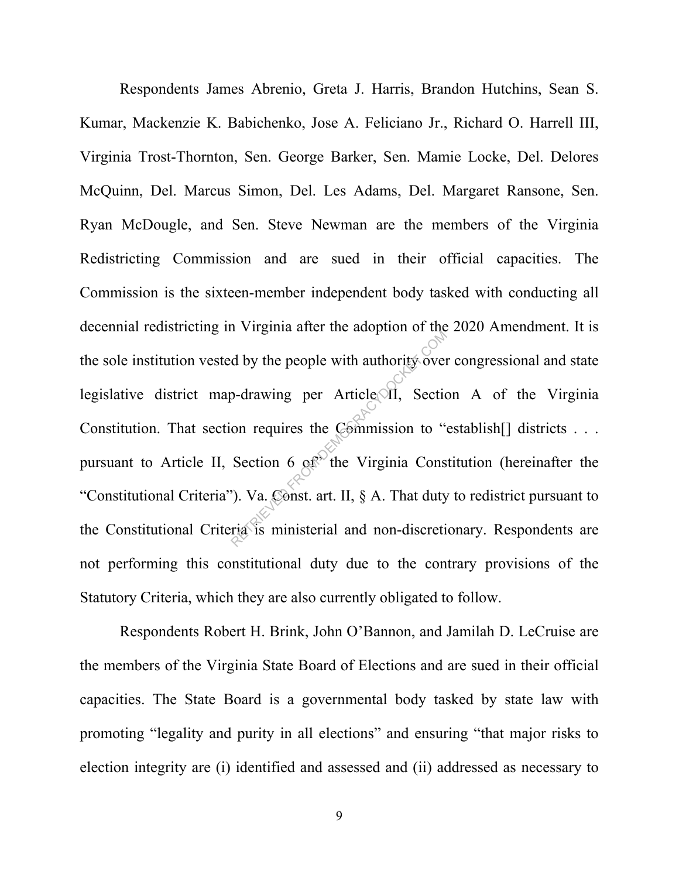Respondents James Abrenio, Greta J. Harris, Brandon Hutchins, Sean S. Kumar, Mackenzie K. Babichenko, Jose A. Feliciano Jr., Richard O. Harrell III, Virginia Trost-Thornton, Sen. George Barker, Sen. Mamie Locke, Del. Delores McQuinn, Del. Marcus Simon, Del. Les Adams, Del. Margaret Ransone, Sen. Ryan McDougle, and Sen. Steve Newman are the members of the Virginia Redistricting Commission and are sued in their official capacities. The Commission is the sixteen-member independent body tasked with conducting all decennial redistricting in Virginia after the adoption of the 2020 Amendment. It is the sole institution vested by the people with authority over congressional and state legislative district map-drawing per Article II, Section A of the Virginia Constitution. That section requires the Commission to "establish<sup>[]</sup> districts . . . pursuant to Article II, Section 6  $\alpha$ <sup>o</sup>the Virginia Constitution (hereinafter the "Constitutional Criteria"). Va. Const. art. II, § A. That duty to redistrict pursuant to the Constitutional Criteria is ministerial and non-discretionary. Respondents are not performing this constitutional duty due to the contrary provisions of the Statutory Criteria, which they are also currently obligated to follow. d by the people with authority over<br>
2-drawing per Article off, Section<br>
on requires the Commission to "Section 6 off" the Virginia Cons<br>
2). Va. Const. art. II, § A. That duty<br>
ria is ministerial and non-discreti

Respondents Robert H. Brink, John O'Bannon, and Jamilah D. LeCruise are the members of the Virginia State Board of Elections and are sued in their official capacities. The State Board is a governmental body tasked by state law with promoting "legality and purity in all elections" and ensuring "that major risks to election integrity are (i) identified and assessed and (ii) addressed as necessary to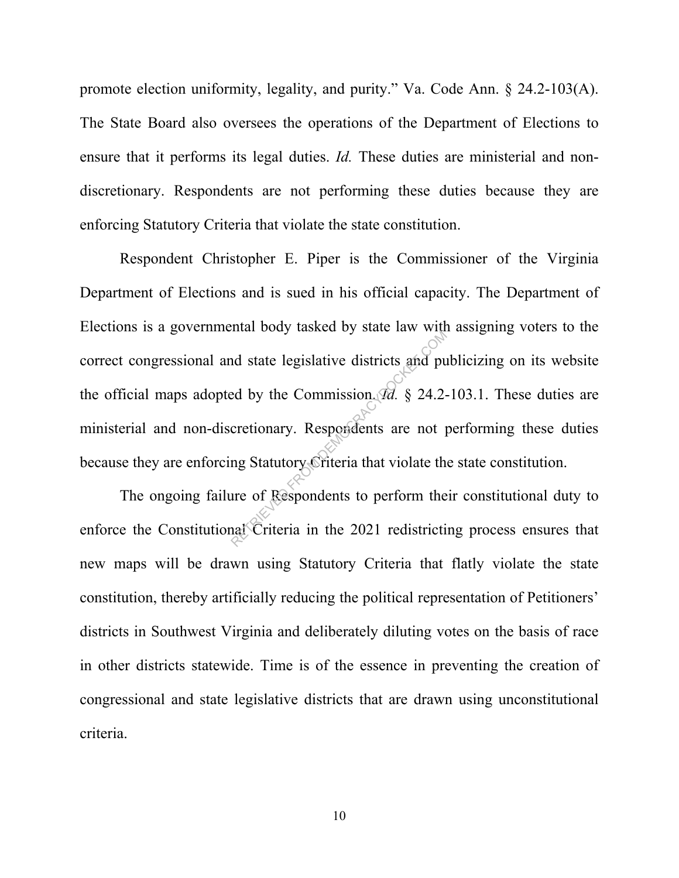promote election uniformity, legality, and purity." Va. Code Ann. § 24.2-103(A). The State Board also oversees the operations of the Department of Elections to ensure that it performs its legal duties. *Id.* These duties are ministerial and nondiscretionary. Respondents are not performing these duties because they are enforcing Statutory Criteria that violate the state constitution.

 Respondent Christopher E. Piper is the Commissioner of the Virginia Department of Elections and is sued in his official capacity. The Department of Elections is a governmental body tasked by state law with assigning voters to the correct congressional and state legislative districts and publicizing on its website the official maps adopted by the Commission. *Id.* § 24.2-103.1. These duties are ministerial and non-discretionary. Respondents are not performing these duties because they are enforcing Statutory Criteria that violate the state constitution. and state legislative districts and pu<br>ed by the Commission *Ta*. § 24.2-<br>cretionary. Respondents are not p<br>ng Statutory Criteria that violate th<br>ure of Respondents to perform the<br>nat Criteria in the 2021 redistricti

 The ongoing failure of Respondents to perform their constitutional duty to enforce the Constitutional Criteria in the 2021 redistricting process ensures that new maps will be drawn using Statutory Criteria that flatly violate the state constitution, thereby artificially reducing the political representation of Petitioners' districts in Southwest Virginia and deliberately diluting votes on the basis of race in other districts statewide. Time is of the essence in preventing the creation of congressional and state legislative districts that are drawn using unconstitutional criteria.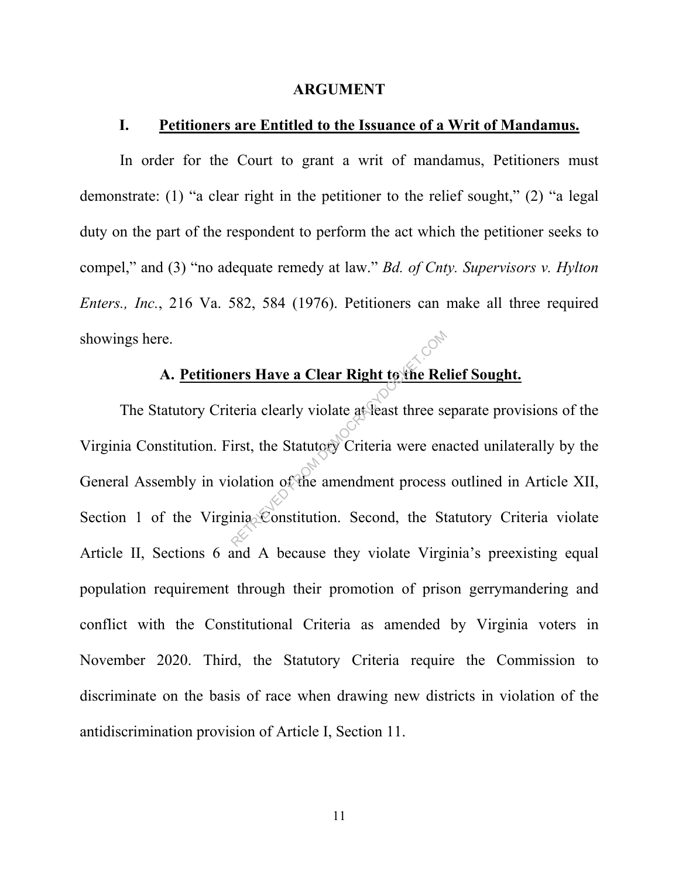#### **ARGUMENT**

#### **I. Petitioners are Entitled to the Issuance of a Writ of Mandamus.**

In order for the Court to grant a writ of mandamus, Petitioners must demonstrate: (1) "a clear right in the petitioner to the relief sought," (2) "a legal duty on the part of the respondent to perform the act which the petitioner seeks to compel," and (3) "no adequate remedy at law." *Bd. of Cnty. Supervisors v. Hylton Enters., Inc.*, 216 Va. 582, 584 (1976). Petitioners can make all three required showings here.

### **A. Petitioners Have a Clear Right to the Relief Sought.**

The Statutory Criteria clearly violate at least three separate provisions of the Virginia Constitution. First, the Statutory Criteria were enacted unilaterally by the General Assembly in violation of the amendment process outlined in Article XII, Section 1 of the Virginia Constitution. Second, the Statutory Criteria violate Article II, Sections 6 and A because they violate Virginia's preexisting equal population requirement through their promotion of prison gerrymandering and conflict with the Constitutional Criteria as amended by Virginia voters in November 2020. Third, the Statutory Criteria require the Commission to discriminate on the basis of race when drawing new districts in violation of the antidiscrimination provision of Article I, Section 11. ers Have a Clear Right to the Ret<br>teria clearly violate at least three senses<br>interior Criteria were enables into the amendment process<br>interiors. Second, the St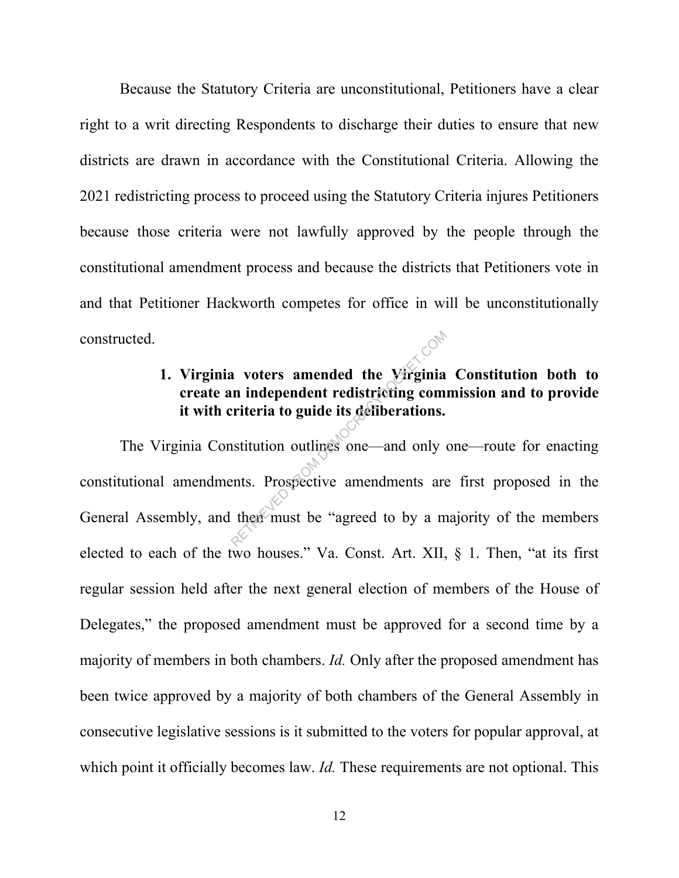Because the Statutory Criteria are unconstitutional, Petitioners have a clear right to a writ directing Respondents to discharge their duties to ensure that new districts are drawn in accordance with the Constitutional Criteria. Allowing the 2021 redistricting process to proceed using the Statutory Criteria injures Petitioners because those criteria were not lawfully approved by the people through the constitutional amendment process and because the districts that Petitioners vote in and that Petitioner Hackworth competes for office in will be unconstitutionally constructed.

## **1. Virginia voters amended the Virginia Constitution both to create an independent redistricting commission and to provide it with criteria to guide its deliberations.**

The Virginia Constitution outlines one—and only one—route for enacting constitutional amendments. Prospective amendments are first proposed in the General Assembly, and then must be "agreed to by a majority of the members" elected to each of the two houses." Va. Const. Art. XII, § 1. Then, "at its first regular session held after the next general election of members of the House of Delegates," the proposed amendment must be approved for a second time by a majority of members in both chambers. *Id.* Only after the proposed amendment has been twice approved by a majority of both chambers of the General Assembly in consecutive legislative sessions is it submitted to the voters for popular approval, at which point it officially becomes law. *Id.* These requirements are not optional. This Representative to a member of the Virginia<br>
riteria to guide its deliberations.<br>
Institution outlines one—and only<br>
ents. Prospective amendments are<br>
then must be "agreed to by a m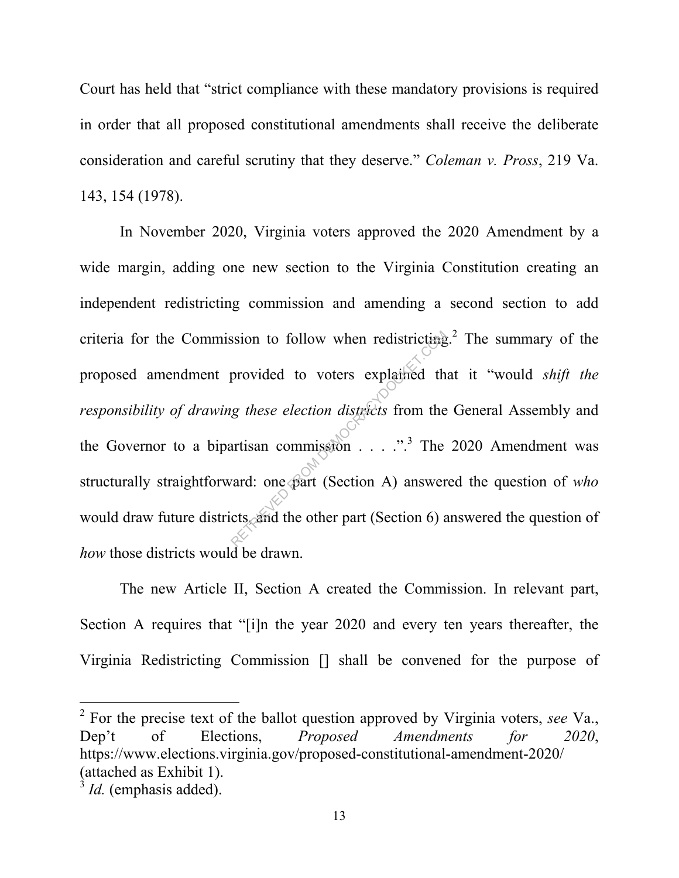Court has held that "strict compliance with these mandatory provisions is required in order that all proposed constitutional amendments shall receive the deliberate consideration and careful scrutiny that they deserve." *Coleman v. Pross*, 219 Va. 143, 154 (1978).

In November 2020, Virginia voters approved the 2020 Amendment by a wide margin, adding one new section to the Virginia Constitution creating an independent redistricting commission and amending a second section to add criteria for the Commission to follow when redistricting.<sup>2</sup> The summary of the proposed amendment provided to voters explained that it "would *shift the responsibility of drawing these election districts* from the General Assembly and the Governor to a bipartisan commission  $\ldots$  ..."<sup>3</sup> The 2020 Amendment was structurally straightforward: one part (Section A) answered the question of *who* would draw future districts, and the other part (Section 6) answered the question of *how* those districts would be drawn. Solven to follow when redistricting<br>provided to voters explained the general of the part of the artisan commission  $\ldots$  ...<sup>3</sup> The vard: one part (Section A) answer cts and the other part (Section 6) a

The new Article II, Section A created the Commission. In relevant part, Section A requires that "[i]n the year 2020 and every ten years thereafter, the Virginia Redistricting Commission [] shall be convened for the purpose of

2 For the precise text of the ballot question approved by Virginia voters, *see* Va., Dep't of Elections, *Proposed Amendments for 2020*, https://www.elections.virginia.gov/proposed-constitutional-amendment-2020/ (attached as Exhibit 1).

 $\overline{a}$ 

 $3$  *Id.* (emphasis added).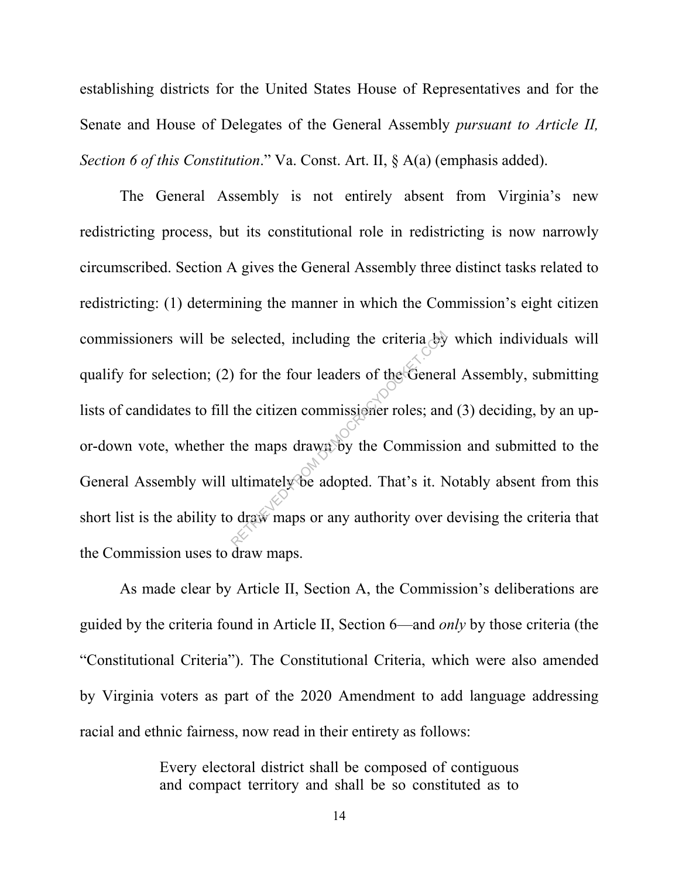establishing districts for the United States House of Representatives and for the Senate and House of Delegates of the General Assembly *pursuant to Article II, Section 6 of this Constitution*." Va. Const. Art. II, § A(a) (emphasis added).

The General Assembly is not entirely absent from Virginia's new redistricting process, but its constitutional role in redistricting is now narrowly circumscribed. Section A gives the General Assembly three distinct tasks related to redistricting: (1) determining the manner in which the Commission's eight citizen commissioners will be selected, including the criteria by which individuals will qualify for selection; (2) for the four leaders of the General Assembly, submitting lists of candidates to fill the citizen commissioner roles; and (3) deciding, by an upor-down vote, whether the maps drawn by the Commission and submitted to the General Assembly will ultimately be adopted. That's it. Notably absent from this short list is the ability to draw maps or any authority over devising the criteria that the Commission uses to draw maps. selected, including the criteria by<br>
) for the four leaders of the General<br>
the citizen commissioner roles; and<br>
the maps drawn by the Commission<br>
ultimately be adopted. That's it. Noted that the maps or any authority over

As made clear by Article II, Section A, the Commission's deliberations are guided by the criteria found in Article II, Section 6—and *only* by those criteria (the "Constitutional Criteria"). The Constitutional Criteria, which were also amended by Virginia voters as part of the 2020 Amendment to add language addressing racial and ethnic fairness, now read in their entirety as follows:

> Every electoral district shall be composed of contiguous and compact territory and shall be so constituted as to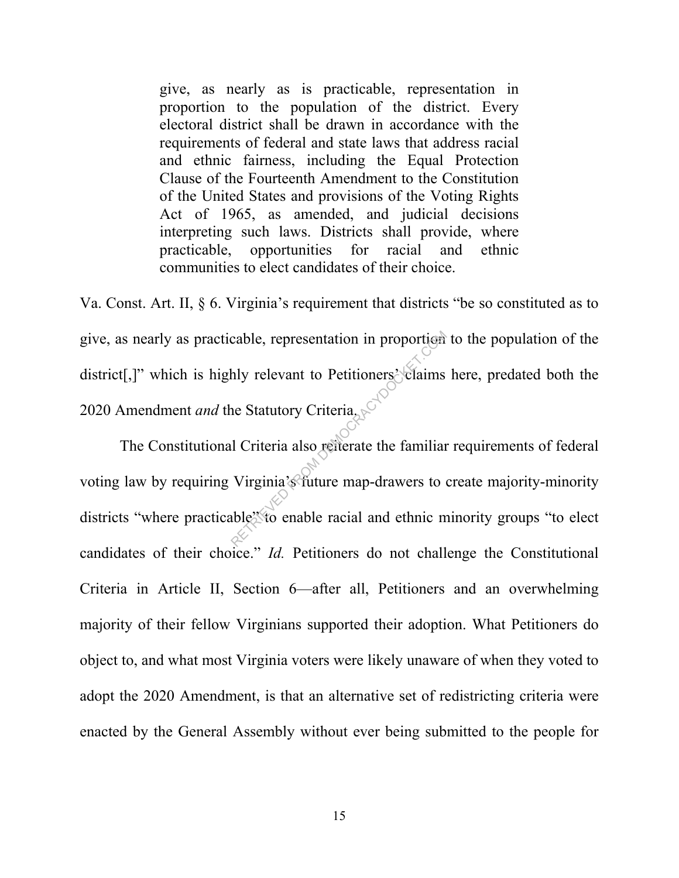give, as nearly as is practicable, representation in proportion to the population of the district. Every electoral district shall be drawn in accordance with the requirements of federal and state laws that address racial and ethnic fairness, including the Equal Protection Clause of the Fourteenth Amendment to the Constitution of the United States and provisions of the Voting Rights Act of 1965, as amended, and judicial decisions interpreting such laws. Districts shall provide, where practicable, opportunities for racial and ethnic communities to elect candidates of their choice.

Va. Const. Art. II, § 6. Virginia's requirement that districts "be so constituted as to give, as nearly as practicable, representation in proportion to the population of the district[,]" which is highly relevant to Petitioners' claims here, predated both the 2020 Amendment *and* the Statutory Criteria.

The Constitutional Criteria also reiterate the familiar requirements of federal voting law by requiring Virginia's future map-drawers to create majority-minority districts "where practicable" to enable racial and ethnic minority groups "to elect candidates of their choice." *Id.* Petitioners do not challenge the Constitutional Criteria in Article II, Section 6—after all, Petitioners and an overwhelming majority of their fellow Virginians supported their adoption. What Petitioners do object to, and what most Virginia voters were likely unaware of when they voted to adopt the 2020 Amendment, is that an alternative set of redistricting criteria were enacted by the General Assembly without ever being submitted to the people for cable, representation in proportion<br>hly relevant to Petitioners' claims<br>ne Statutory Criteria<br>also reflerate the familiar<br>l Criteria also reflerate the familiar<br>Virginia's future map-drawers to d<br>hble''' to enable racial a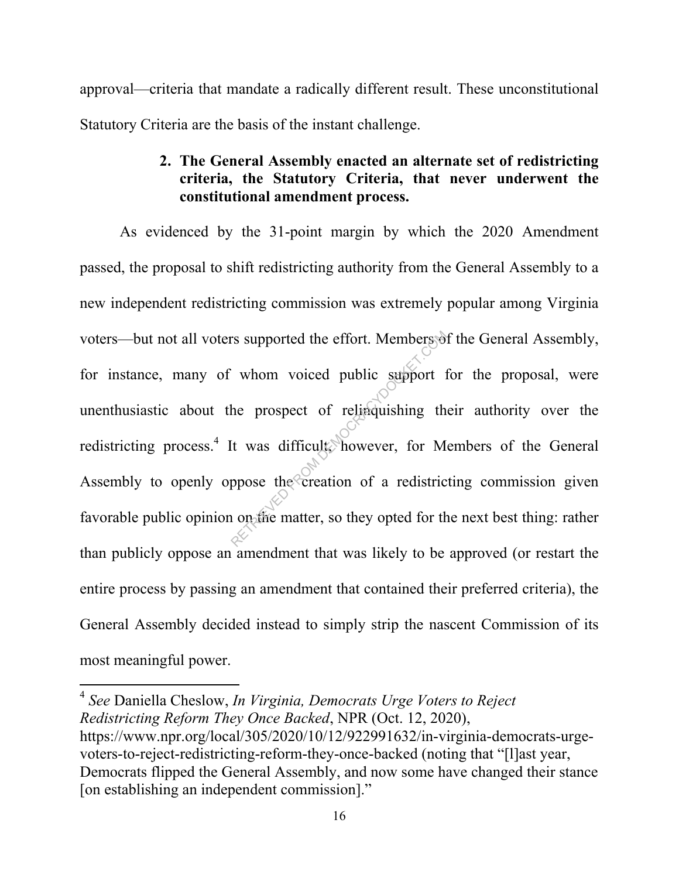approval—criteria that mandate a radically different result. These unconstitutional Statutory Criteria are the basis of the instant challenge.

### **2. The General Assembly enacted an alternate set of redistricting criteria, the Statutory Criteria, that never underwent the constitutional amendment process.**

As evidenced by the 31-point margin by which the 2020 Amendment passed, the proposal to shift redistricting authority from the General Assembly to a new independent redistricting commission was extremely popular among Virginia voters—but not all voters supported the effort. Members of the General Assembly, for instance, many of whom voiced public support for the proposal, were unenthusiastic about the prospect of relinquishing their authority over the redistricting process.<sup>4</sup> It was difficult, however, for Members of the General Assembly to openly oppose the creation of a redistricting commission given favorable public opinion on the matter, so they opted for the next best thing: rather than publicly oppose an amendment that was likely to be approved (or restart the entire process by passing an amendment that contained their preferred criteria), the General Assembly decided instead to simply strip the nascent Commission of its most meaningful power. reflective difficult. Members of<br>the prospect of relinquishing the prospect of relinquishing the<br>interval of a redistrict of a redistrict on the creation of a redistrict<br>of a redistrict of a redistrict of a redistrict of a

-

<sup>4</sup> *See* Daniella Cheslow, *In Virginia, Democrats Urge Voters to Reject Redistricting Reform They Once Backed*, NPR (Oct. 12, 2020), https://www.npr.org/local/305/2020/10/12/922991632/in-virginia-democrats-urgevoters-to-reject-redistricting-reform-they-once-backed (noting that "[l]ast year, Democrats flipped the General Assembly, and now some have changed their stance [on establishing an independent commission]."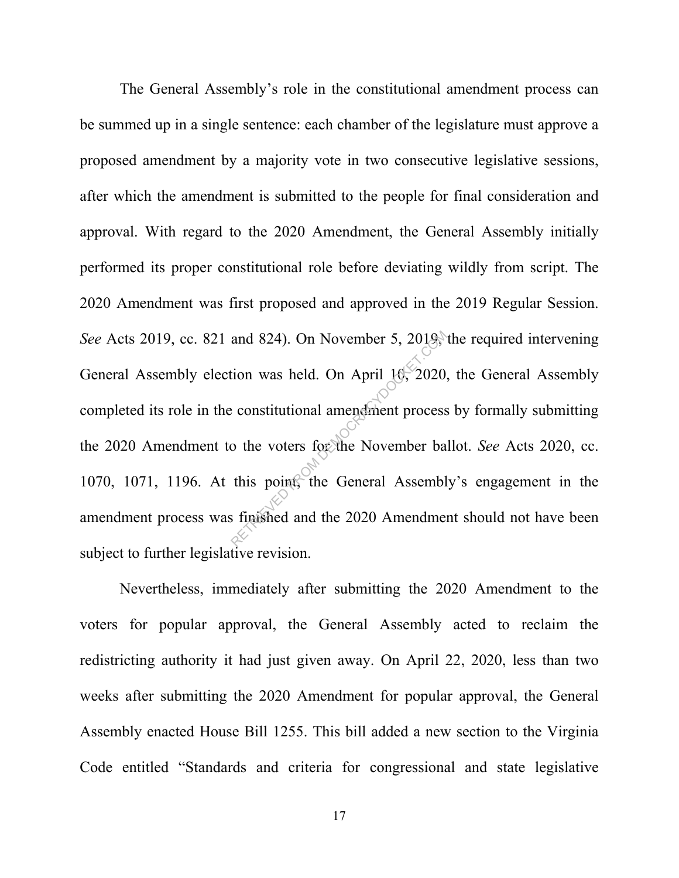The General Assembly's role in the constitutional amendment process can be summed up in a single sentence: each chamber of the legislature must approve a proposed amendment by a majority vote in two consecutive legislative sessions, after which the amendment is submitted to the people for final consideration and approval. With regard to the 2020 Amendment, the General Assembly initially performed its proper constitutional role before deviating wildly from script. The 2020 Amendment was first proposed and approved in the 2019 Regular Session. *See* Acts 2019, cc. 821 and 824). On November 5, 2019, the required intervening General Assembly election was held. On April 10, 2020, the General Assembly completed its role in the constitutional amendment process by formally submitting the 2020 Amendment to the voters for the November ballot. *See* Acts 2020, cc. 1070, 1071, 1196. At this point, the General Assembly's engagement in the amendment process was finished and the 2020 Amendment should not have been subject to further legislative revision. and 824). On November 5, 2019,<br>tion was held. On April 10, 2020,<br>constitutional amendment process<br>o the voters for the November ba<br>this point, the General Assembly<br>is finished and the 2020 Amendment

Nevertheless, immediately after submitting the 2020 Amendment to the voters for popular approval, the General Assembly acted to reclaim the redistricting authority it had just given away. On April 22, 2020, less than two weeks after submitting the 2020 Amendment for popular approval, the General Assembly enacted House Bill 1255. This bill added a new section to the Virginia Code entitled "Standards and criteria for congressional and state legislative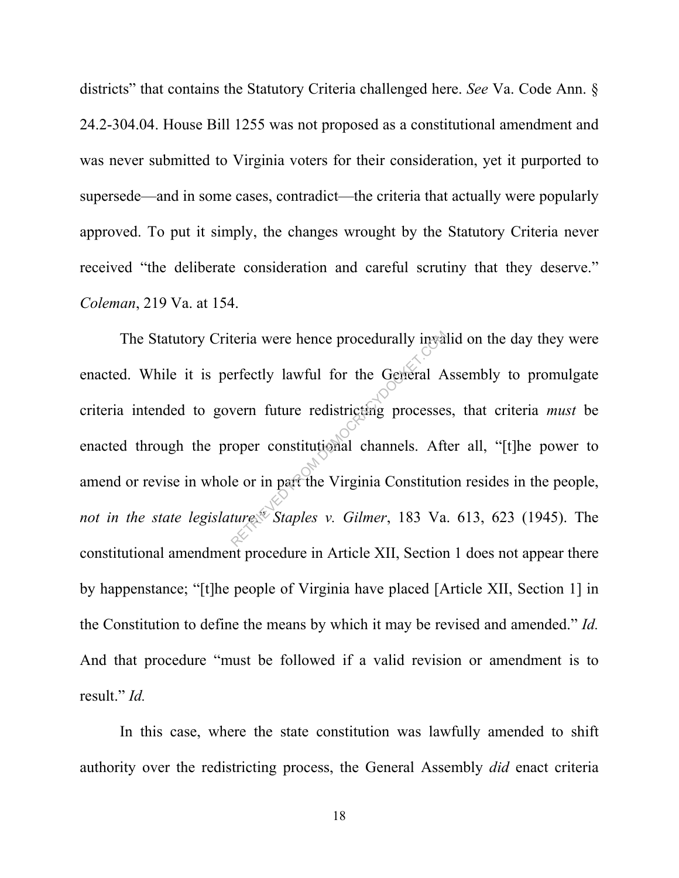districts" that contains the Statutory Criteria challenged here. *See* Va. Code Ann. § 24.2-304.04. House Bill 1255 was not proposed as a constitutional amendment and was never submitted to Virginia voters for their consideration, yet it purported to supersede—and in some cases, contradict—the criteria that actually were popularly approved. To put it simply, the changes wrought by the Statutory Criteria never received "the deliberate consideration and careful scrutiny that they deserve." *Coleman*, 219 Va. at 154.

The Statutory Criteria were hence procedurally invalid on the day they were enacted. While it is perfectly lawful for the General Assembly to promulgate criteria intended to govern future redistricting processes, that criteria *must* be enacted through the proper constitutional channels. After all, "[t]he power to amend or revise in whole or in part the Virginia Constitution resides in the people, *not in the state legislature*." *Staples v. Gilmer*, 183 Va. 613, 623 (1945). The constitutional amendment procedure in Article XII, Section 1 does not appear there by happenstance; "[t]he people of Virginia have placed [Article XII, Section 1] in the Constitution to define the means by which it may be revised and amended." *Id.* And that procedure "must be followed if a valid revision or amendment is to result." *Id.* Expective density in the General Avern future redistricting processes<br>
refectly lawful for the General Avern future redistricting processes<br>
reper constitutional channels. Aft<br>
de or in part the Virginia Constitution<br>
ture

In this case, where the state constitution was lawfully amended to shift authority over the redistricting process, the General Assembly *did* enact criteria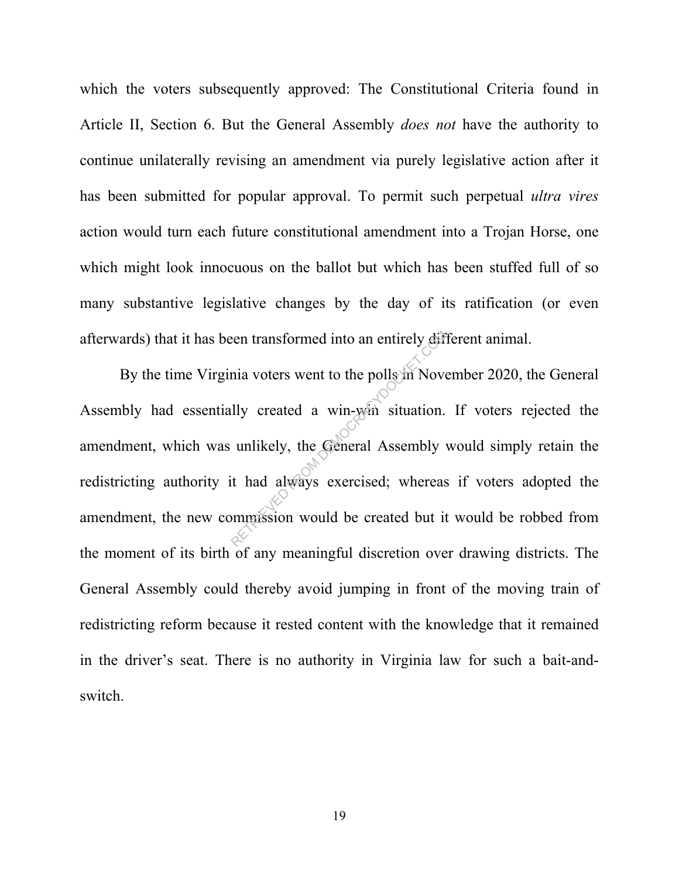which the voters subsequently approved: The Constitutional Criteria found in Article II, Section 6. But the General Assembly *does not* have the authority to continue unilaterally revising an amendment via purely legislative action after it has been submitted for popular approval. To permit such perpetual *ultra vires* action would turn each future constitutional amendment into a Trojan Horse, one which might look innocuous on the ballot but which has been stuffed full of so many substantive legislative changes by the day of its ratification (or even afterwards) that it has been transformed into an entirely different animal.

By the time Virginia voters went to the polls in November 2020, the General Assembly had essentially created a win-win situation. If voters rejected the amendment, which was unlikely, the General Assembly would simply retain the redistricting authority it had always exercised; whereas if voters adopted the amendment, the new commission would be created but it would be robbed from the moment of its birth of any meaningful discretion over drawing districts. The General Assembly could thereby avoid jumping in front of the moving train of redistricting reform because it rested content with the knowledge that it remained in the driver's seat. There is no authority in Virginia law for such a bait-andswitch. Example 11 and the polls of November 11 and the polls of November 11 and the polls of November 11 and the Company of the Company of the Company of the Company of the Company of the company of the company of the company of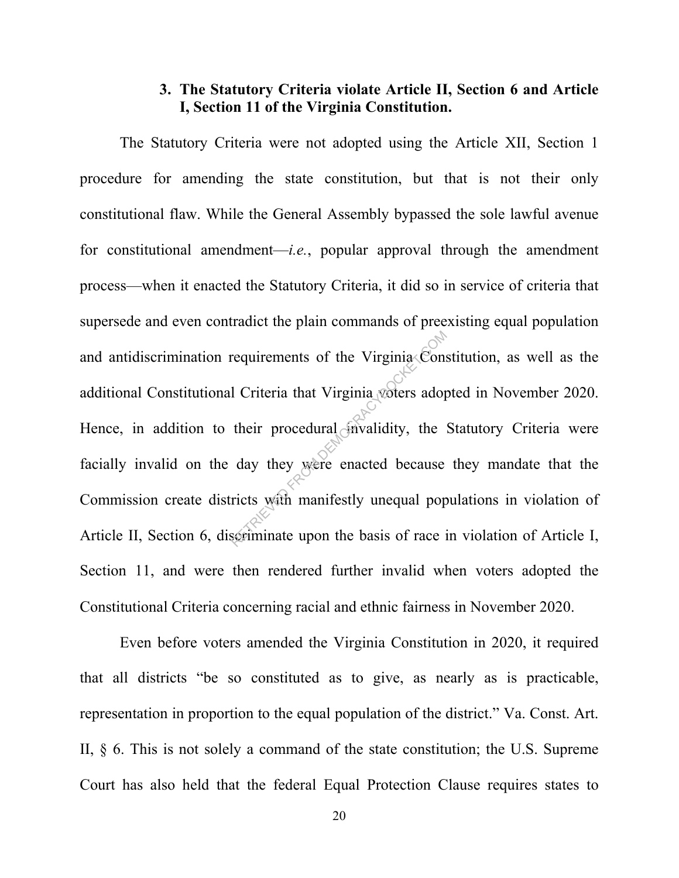### **3. The Statutory Criteria violate Article II, Section 6 and Article I, Section 11 of the Virginia Constitution.**

The Statutory Criteria were not adopted using the Article XII, Section 1 procedure for amending the state constitution, but that is not their only constitutional flaw. While the General Assembly bypassed the sole lawful avenue for constitutional amendment—*i.e.*, popular approval through the amendment process—when it enacted the Statutory Criteria, it did so in service of criteria that supersede and even contradict the plain commands of preexisting equal population and antidiscrimination requirements of the Virginia Constitution, as well as the additional Constitutional Criteria that Virginia voters adopted in November 2020. Hence, in addition to their procedural invalidity, the Statutory Criteria were facially invalid on the day they were enacted because they mandate that the Commission create districts with manifestly unequal populations in violation of Article II, Section 6, discriminate upon the basis of race in violation of Article I, Section 11, and were then rendered further invalid when voters adopted the Constitutional Criteria concerning racial and ethnic fairness in November 2020. requirements of the Virginia Constant Constant Constant Constant Constant Constant Constant Constant Constant Constant Constant Constant Constant Constant Constant Constant Constant Constant Constant Constant Constant Cons

Even before voters amended the Virginia Constitution in 2020, it required that all districts "be so constituted as to give, as nearly as is practicable, representation in proportion to the equal population of the district." Va. Const. Art. II, § 6. This is not solely a command of the state constitution; the U.S. Supreme Court has also held that the federal Equal Protection Clause requires states to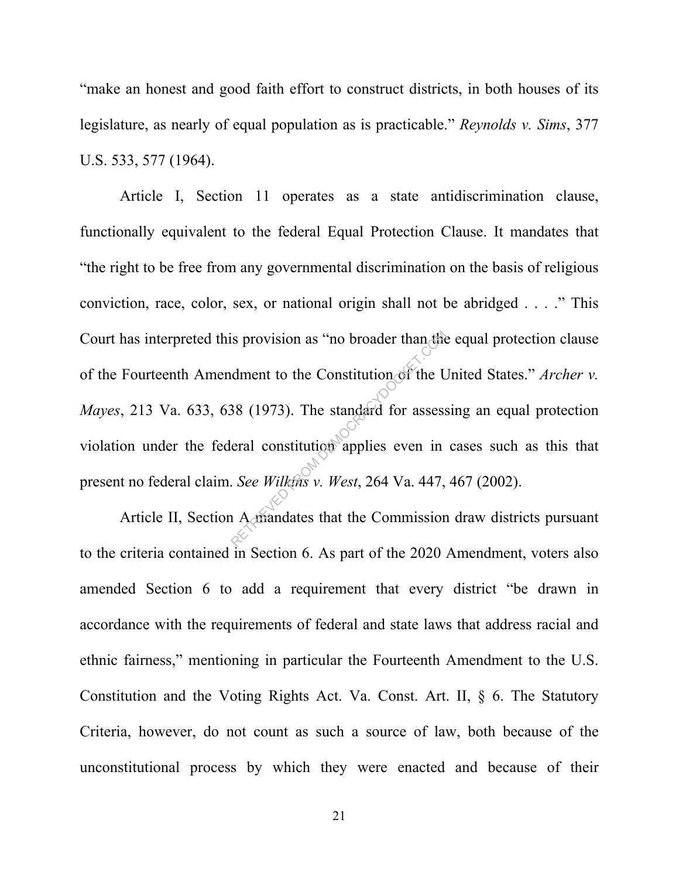"make an honest and good faith effort to construct districts, in both houses of its legislature, as nearly of equal population as is practicable." *Reynolds v. Sims*, 377 U.S. 533, 577 (1964).

Article I, Section 11 operates as a state antidiscrimination clause, functionally equivalent to the federal Equal Protection Clause. It mandates that "the right to be free from any governmental discrimination on the basis of religious conviction, race, color, sex, or national origin shall not be abridged . . . ." This Court has interpreted this provision as "no broader than the equal protection clause of the Fourteenth Amendment to the Constitution of the United States." *Archer v. Mayes*, 213 Va. 633, 638 (1973). The standard for assessing an equal protection violation under the federal constitution applies even in cases such as this that present no federal claim. *See Wilkins v. West*, 264 Va. 447, 467 (2002). is provision as "no broader than the<br>dment to the Constitution of the L<br>38 (1973). The standard for assess<br>eral constitution applies even in<br>. See Wilkins v. West, 264 Va. 447,

Article II, Section A mandates that the Commission draw districts pursuant to the criteria contained in Section 6. As part of the 2020 Amendment, voters also amended Section 6 to add a requirement that every district "be drawn in accordance with the requirements of federal and state laws that address racial and ethnic fairness," mentioning in particular the Fourteenth Amendment to the U.S. Constitution and the Voting Rights Act. Va. Const. Art. II, § 6. The Statutory Criteria, however, do not count as such a source of law, both because of the unconstitutional process by which they were enacted and because of their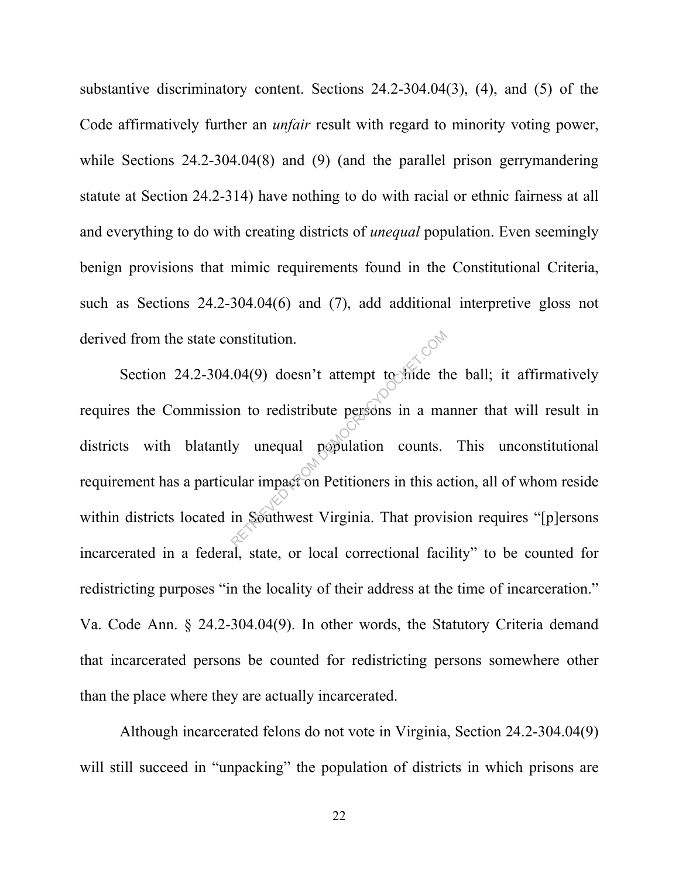substantive discriminatory content. Sections 24.2-304.04(3), (4), and (5) of the Code affirmatively further an *unfair* result with regard to minority voting power, while Sections 24.2-304.04(8) and (9) (and the parallel prison gerrymandering statute at Section 24.2-314) have nothing to do with racial or ethnic fairness at all and everything to do with creating districts of *unequal* population. Even seemingly benign provisions that mimic requirements found in the Constitutional Criteria, such as Sections 24.2-304.04(6) and (7), add additional interpretive gloss not derived from the state constitution.

Section 24.2-304.04(9) doesn't attempt to hide the ball; it affirmatively requires the Commission to redistribute persons in a manner that will result in districts with blatantly unequal population counts. This unconstitutional requirement has a particular impact on Petitioners in this action, all of whom reside within districts located in Southwest Virginia. That provision requires "[p]ersons incarcerated in a federal, state, or local correctional facility" to be counted for redistricting purposes "in the locality of their address at the time of incarceration." Va. Code Ann. § 24.2-304.04(9). In other words, the Statutory Criteria demand that incarcerated persons be counted for redistricting persons somewhere other than the place where they are actually incarcerated. Solution.<br>
Returnation of the set of the term of the set of the term of the term of the term of the term of the units.<br>
That impact on Petitioners in this admits are solutioned by the set of the set of the set of the set o

Although incarcerated felons do not vote in Virginia, Section 24.2-304.04(9) will still succeed in "unpacking" the population of districts in which prisons are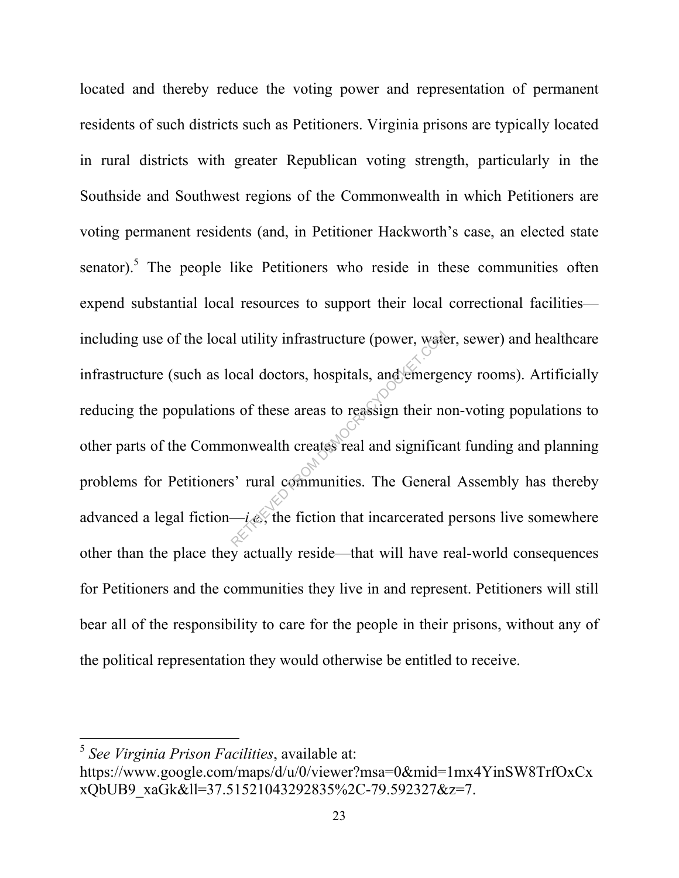located and thereby reduce the voting power and representation of permanent residents of such districts such as Petitioners. Virginia prisons are typically located in rural districts with greater Republican voting strength, particularly in the Southside and Southwest regions of the Commonwealth in which Petitioners are voting permanent residents (and, in Petitioner Hackworth's case, an elected state senator).<sup>5</sup> The people like Petitioners who reside in these communities often expend substantial local resources to support their local correctional facilities including use of the local utility infrastructure (power, water, sewer) and healthcare infrastructure (such as local doctors, hospitals, and emergency rooms). Artificially reducing the populations of these areas to reassign their non-voting populations to other parts of the Commonwealth creates real and significant funding and planning problems for Petitioners' rural communities. The General Assembly has thereby advanced a legal fiction— $i.e.$ , the fiction that incarcerated persons live somewhere other than the place they actually reside—that will have real-world consequences for Petitioners and the communities they live in and represent. Petitioners will still bear all of the responsibility to care for the people in their prisons, without any of the political representation they would otherwise be entitled to receive. In utility infrastructure (power, water<br>
ocal doctors, hospitals, and emerge<br>
s of these areas to reassign their no<br>
nonwealth creates real and significa<br>
s' rural communities. The Genera<br>
i.e., the fiction that incarcerat

 $\overline{a}$ 

<sup>5</sup> *See Virginia Prison Facilities*, available at:

https://www.google.com/maps/d/u/0/viewer?msa=0&mid=1mx4YinSW8TrfOxCx xQbUB9\_xaGk&ll=37.51521043292835%2C-79.592327&z=7.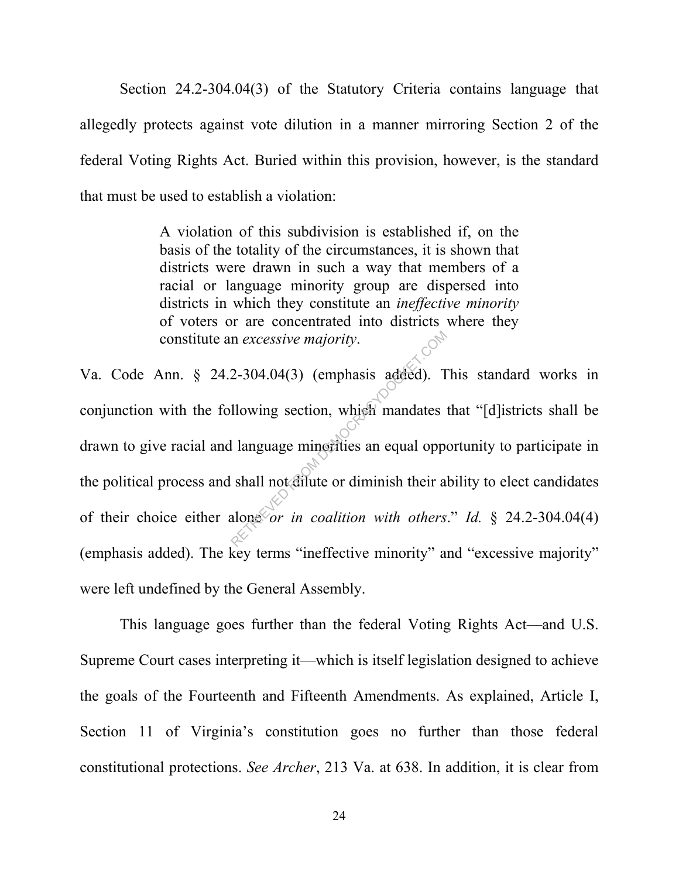Section 24.2-304.04(3) of the Statutory Criteria contains language that allegedly protects against vote dilution in a manner mirroring Section 2 of the federal Voting Rights Act. Buried within this provision, however, is the standard that must be used to establish a violation:

> A violation of this subdivision is established if, on the basis of the totality of the circumstances, it is shown that districts were drawn in such a way that members of a racial or language minority group are dispersed into districts in which they constitute an *ineffective minority* of voters or are concentrated into districts where they constitute an *excessive majority*.

Va. Code Ann. § 24.2-304.04(3) (emphasis added). This standard works in conjunction with the following section, which mandates that "[d]istricts shall be drawn to give racial and language minorities an equal opportunity to participate in the political process and shall not dilute or diminish their ability to elect candidates of their choice either alone *or in coalition with others*." *Id.* § 24.2-304.04(4) (emphasis added). The key terms "ineffective minority" and "excessive majority" were left undefined by the General Assembly. m excessive majority.<br>
2-304.04(3) (emphasis added). T<br>
Ilowing section, which mandates<br>
I language minorities an equal opperable shall not dilute or diminish their a<br>
alone or in coalition with others

This language goes further than the federal Voting Rights Act—and U.S. Supreme Court cases interpreting it—which is itself legislation designed to achieve the goals of the Fourteenth and Fifteenth Amendments. As explained, Article I, Section 11 of Virginia's constitution goes no further than those federal constitutional protections. *See Archer*, 213 Va. at 638. In addition, it is clear from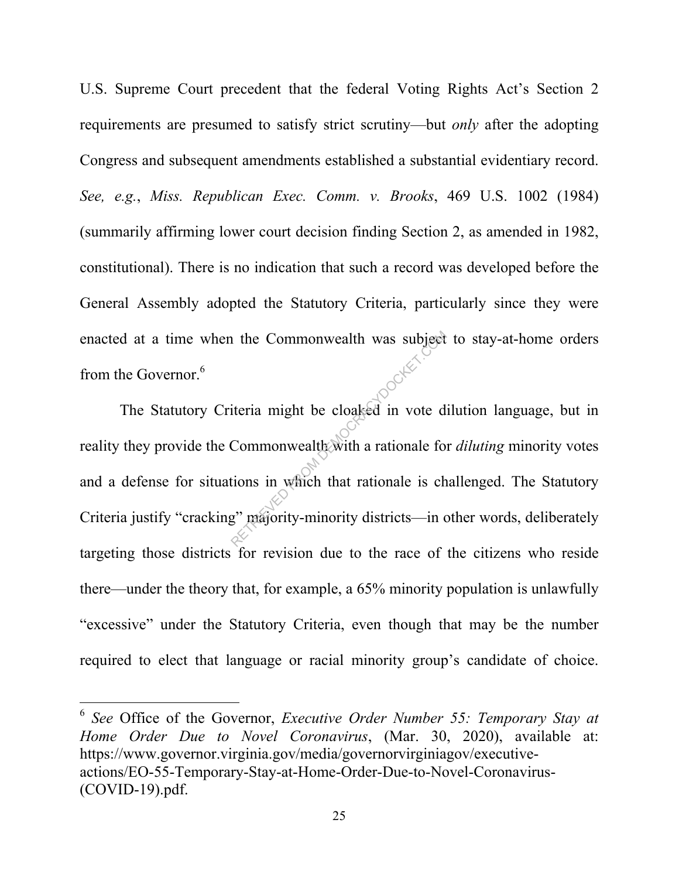U.S. Supreme Court precedent that the federal Voting Rights Act's Section 2 requirements are presumed to satisfy strict scrutiny—but *only* after the adopting Congress and subsequent amendments established a substantial evidentiary record. *See, e.g.*, *Miss. Republican Exec. Comm. v. Brooks*, 469 U.S. 1002 (1984) (summarily affirming lower court decision finding Section 2, as amended in 1982, constitutional). There is no indication that such a record was developed before the General Assembly adopted the Statutory Criteria, particularly since they were enacted at a time when the Commonwealth was subject to stay-at-home orders from the Governor.<sup>6</sup>

The Statutory Criteria might be cloaked in vote dilution language, but in reality they provide the Commonwealth with a rationale for *diluting* minority votes and a defense for situations in which that rationale is challenged. The Statutory Criteria justify "cracking" majority-minority districts—in other words, deliberately targeting those districts for revision due to the race of the citizens who reside there—under the theory that, for example, a 65% minority population is unlawfully "excessive" under the Statutory Criteria, even though that may be the number required to elect that language or racial minority group's candidate of choice. The Commonwealth was subject<br>iteria might be cloaked in vote d<br>Commonwealth with a rationale for<br>tions in which that rationale is ch<br>g" majority-minority districts—in d

 $\overline{a}$ 

<sup>6</sup> *See* Office of the Governor, *Executive Order Number 55: Temporary Stay at Home Order Due to Novel Coronavirus*, (Mar. 30, 2020), available at: https://www.governor.virginia.gov/media/governorvirginiagov/executiveactions/EO-55-Temporary-Stay-at-Home-Order-Due-to-Novel-Coronavirus- (COVID-19).pdf.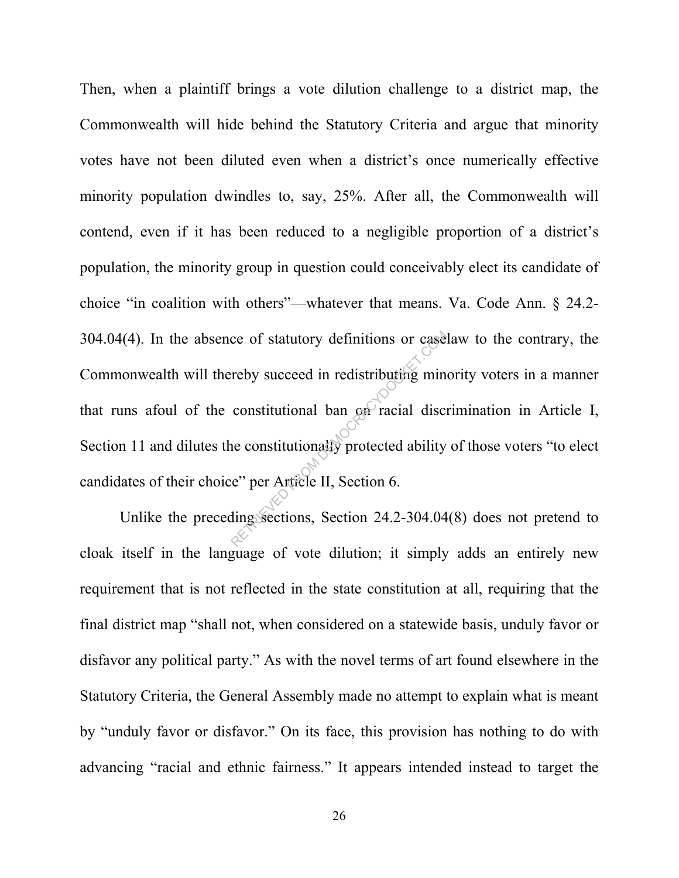Then, when a plaintiff brings a vote dilution challenge to a district map, the Commonwealth will hide behind the Statutory Criteria and argue that minority votes have not been diluted even when a district's once numerically effective minority population dwindles to, say, 25%. After all, the Commonwealth will contend, even if it has been reduced to a negligible proportion of a district's population, the minority group in question could conceivably elect its candidate of choice "in coalition with others"—whatever that means. Va. Code Ann. § 24.2- 304.04(4). In the absence of statutory definitions or caselaw to the contrary, the Commonwealth will thereby succeed in redistributing minority voters in a manner that runs afoul of the constitutional ban on racial discrimination in Article I, Section 11 and dilutes the constitutionally protected ability of those voters "to elect candidates of their choice" per Article II, Section 6. ce of statutory definitions or case<br>reby succeed in redistributing min<br>constitutional ban on racial disc<br>ne constitutionally protected ability<br>e" per Article II, Section 6.<br>ding sections, Section 24.2-304.04

Unlike the preceding sections, Section 24.2-304.04(8) does not pretend to cloak itself in the language of vote dilution; it simply adds an entirely new requirement that is not reflected in the state constitution at all, requiring that the final district map "shall not, when considered on a statewide basis, unduly favor or disfavor any political party." As with the novel terms of art found elsewhere in the Statutory Criteria, the General Assembly made no attempt to explain what is meant by "unduly favor or disfavor." On its face, this provision has nothing to do with advancing "racial and ethnic fairness." It appears intended instead to target the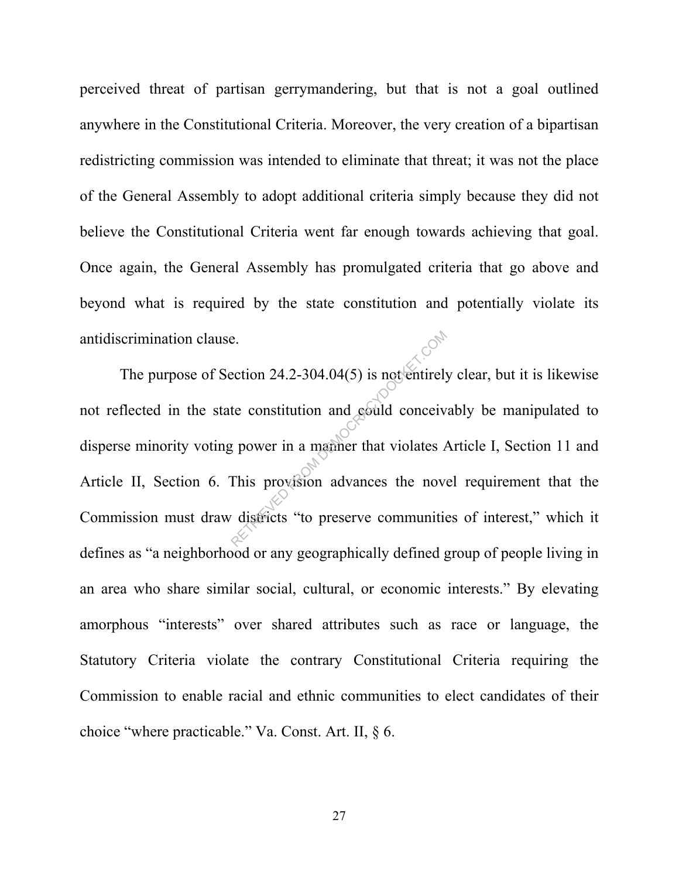perceived threat of partisan gerrymandering, but that is not a goal outlined anywhere in the Constitutional Criteria. Moreover, the very creation of a bipartisan redistricting commission was intended to eliminate that threat; it was not the place of the General Assembly to adopt additional criteria simply because they did not believe the Constitutional Criteria went far enough towards achieving that goal. Once again, the General Assembly has promulgated criteria that go above and beyond what is required by the state constitution and potentially violate its antidiscrimination clause.

The purpose of Section 24.2-304.04(5) is not entirely clear, but it is likewise not reflected in the state constitution and could conceivably be manipulated to disperse minority voting power in a manner that violates Article I, Section 11 and Article II, Section 6. This provision advances the novel requirement that the Commission must draw districts "to preserve communities of interest," which it defines as "a neighborhood or any geographically defined group of people living in an area who share similar social, cultural, or economic interests." By elevating amorphous "interests" over shared attributes such as race or language, the Statutory Criteria violate the contrary Constitutional Criteria requiring the Commission to enable racial and ethnic communities to elect candidates of their choice "where practicable." Va. Const. Art. II, § 6. Exection 24.2-304.04(5) is not entirely<br>te constitution and could conceive<br>the constitution and could conceive<br>this provision advances the nove<br>districts "to preserve communities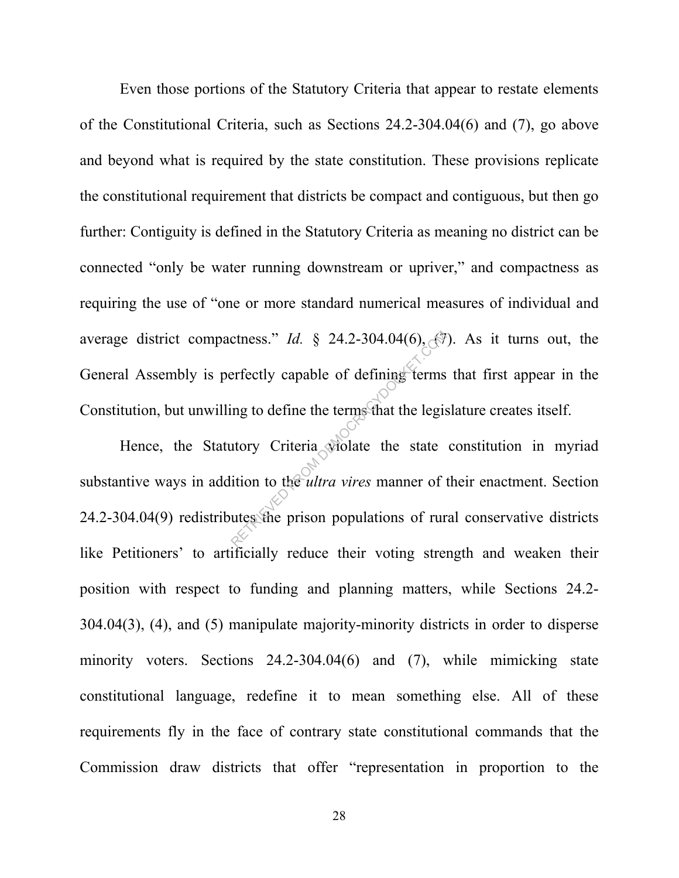Even those portions of the Statutory Criteria that appear to restate elements of the Constitutional Criteria, such as Sections 24.2-304.04(6) and (7), go above and beyond what is required by the state constitution. These provisions replicate the constitutional requirement that districts be compact and contiguous, but then go further: Contiguity is defined in the Statutory Criteria as meaning no district can be connected "only be water running downstream or upriver," and compactness as requiring the use of "one or more standard numerical measures of individual and average district compactness." *Id.* § 24.2-304.04(6),  $\binom{2}{3}$ . As it turns out, the General Assembly is perfectly capable of defining terms that first appear in the Constitution, but unwilling to define the terms that the legislature creates itself.

Hence, the Statutory Criteria violate the state constitution in myriad substantive ways in addition to the *ultra vires* manner of their enactment. Section 24.2-304.04(9) redistributes the prison populations of rural conservative districts like Petitioners' to artificially reduce their voting strength and weaken their position with respect to funding and planning matters, while Sections 24.2- 304.04(3), (4), and (5) manipulate majority-minority districts in order to disperse minority voters. Sections 24.2-304.04(6) and (7), while mimicking state constitutional language, redefine it to mean something else. All of these requirements fly in the face of contrary state constitutional commands that the Commission draw districts that offer "representation in proportion to the ctness." *Id.* § 24.2-304.04(6),  $\sqrt{2}$ <br>erfectly capable of defining terms<br>ing to define the terms that the legis<br>utory Criteria wiolate the state<br>ition to the *ultra vires* manner of the<br>utes the prison populations of r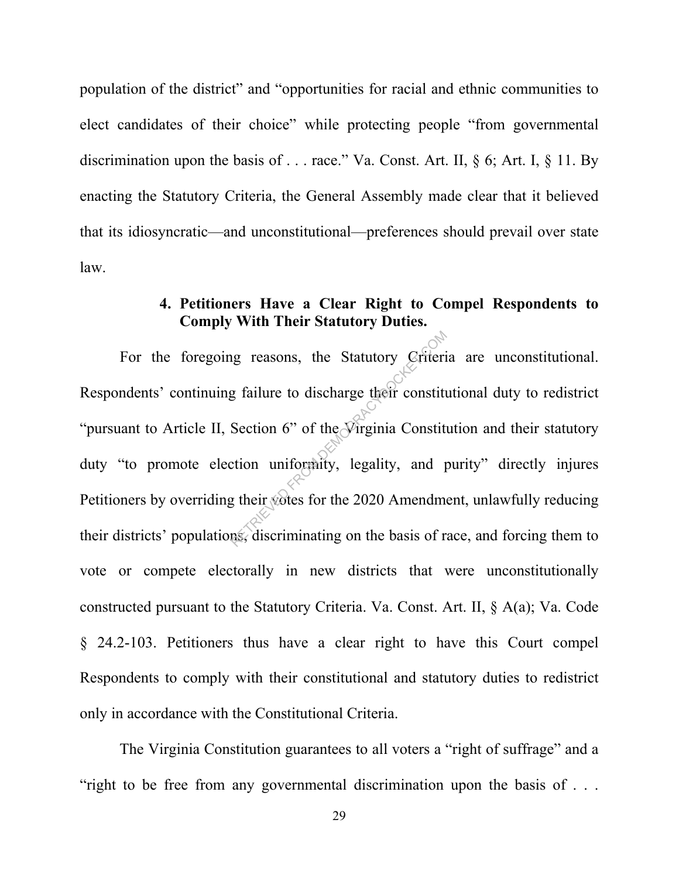population of the district" and "opportunities for racial and ethnic communities to elect candidates of their choice" while protecting people "from governmental discrimination upon the basis of . . . race." Va. Const. Art. II, § 6; Art. I, § 11. By enacting the Statutory Criteria, the General Assembly made clear that it believed that its idiosyncratic—and unconstitutional—preferences should prevail over state law.

#### **4. Petitioners Have a Clear Right to Compel Respondents to Comply With Their Statutory Duties.**

For the foregoing reasons, the Statutory Criteria are unconstitutional. Respondents' continuing failure to discharge their constitutional duty to redistrict "pursuant to Article II, Section 6" of the Virginia Constitution and their statutory duty "to promote election uniformity, legality, and purity" directly injures Petitioners by overriding their votes for the 2020 Amendment, unlawfully reducing their districts' populations, discriminating on the basis of race, and forcing them to vote or compete electorally in new districts that were unconstitutionally constructed pursuant to the Statutory Criteria. Va. Const. Art. II, § A(a); Va. Code § 24.2-103. Petitioners thus have a clear right to have this Court compel Respondents to comply with their constitutional and statutory duties to redistrict only in accordance with the Constitutional Criteria. ing reasons, the Statutory Criteri<br>g failure to discharge their constitutes<br>Section 6" of the Virginia Constitution uniformity, legality, and p<br>g their votes for the 2020 Amendments, discriminating on the basis of r

The Virginia Constitution guarantees to all voters a "right of suffrage" and a "right to be free from any governmental discrimination upon the basis of . . .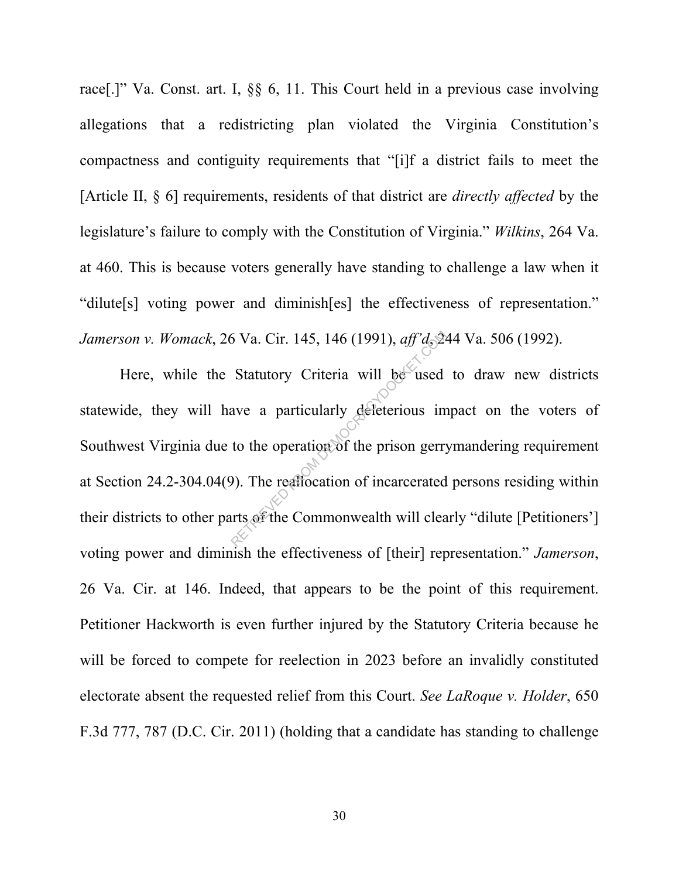race[.]" Va. Const. art. I, §§ 6, 11. This Court held in a previous case involving allegations that a redistricting plan violated the Virginia Constitution's compactness and contiguity requirements that "[i]f a district fails to meet the [Article II, § 6] requirements, residents of that district are *directly affected* by the legislature's failure to comply with the Constitution of Virginia." *Wilkins*, 264 Va. at 460. This is because voters generally have standing to challenge a law when it "dilute[s] voting power and diminish[es] the effectiveness of representation." *Jamerson v. Womack*, 26 Va. Cir. 145, 146 (1991), *aff'd*, 244 Va. 506 (1992).

Here, while the Statutory Criteria will be used to draw new districts statewide, they will have a particularly deleterious impact on the voters of Southwest Virginia due to the operation of the prison gerrymandering requirement at Section 24.2-304.04(9). The reallocation of incarcerated persons residing within their districts to other parts of the Commonwealth will clearly "dilute [Petitioners'] voting power and diminish the effectiveness of [their] representation." *Jamerson*, 26 Va. Cir. at 146. Indeed, that appears to be the point of this requirement. Petitioner Hackworth is even further injured by the Statutory Criteria because he will be forced to compete for reelection in 2023 before an invalidly constituted electorate absent the requested relief from this Court. *See LaRoque v. Holder*, 650 F.3d 777, 787 (D.C. Cir. 2011) (holding that a candidate has standing to challenge Statutory Criteria will be used<br>ave a particularly deleterious in<br>to the operation of the prison gerry<br>a). The realiocation of incarcerated<br>arts of the Commonwealth will clea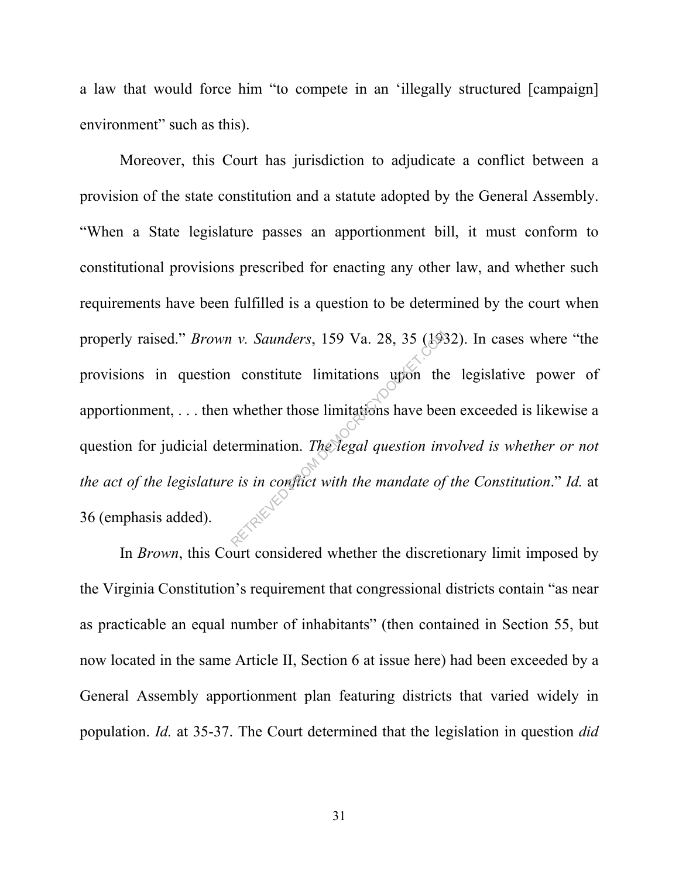a law that would force him "to compete in an 'illegally structured [campaign] environment" such as this).

Moreover, this Court has jurisdiction to adjudicate a conflict between a provision of the state constitution and a statute adopted by the General Assembly. "When a State legislature passes an apportionment bill, it must conform to constitutional provisions prescribed for enacting any other law, and whether such requirements have been fulfilled is a question to be determined by the court when properly raised." *Brown v. Saunders*, 159 Va. 28, 35 (1932). In cases where "the provisions in question constitute limitations upon the legislative power of apportionment, . . . then whether those limitations have been exceeded is likewise a question for judicial determination. *The legal question involved is whether or not the act of the legislature is in conflict with the mandate of the Constitution*." *Id.* at 36 (emphasis added). retrieve Demokrations 159 Va. 28, 35 (1988)<br>
constitute limitations upon the<br>
whether those limitations have been<br>
cermination. The legal question inv<br>
is in conflict with the mandate of

In *Brown*, this Court considered whether the discretionary limit imposed by the Virginia Constitution's requirement that congressional districts contain "as near as practicable an equal number of inhabitants" (then contained in Section 55, but now located in the same Article II, Section 6 at issue here) had been exceeded by a General Assembly apportionment plan featuring districts that varied widely in population. *Id.* at 35-37. The Court determined that the legislation in question *did*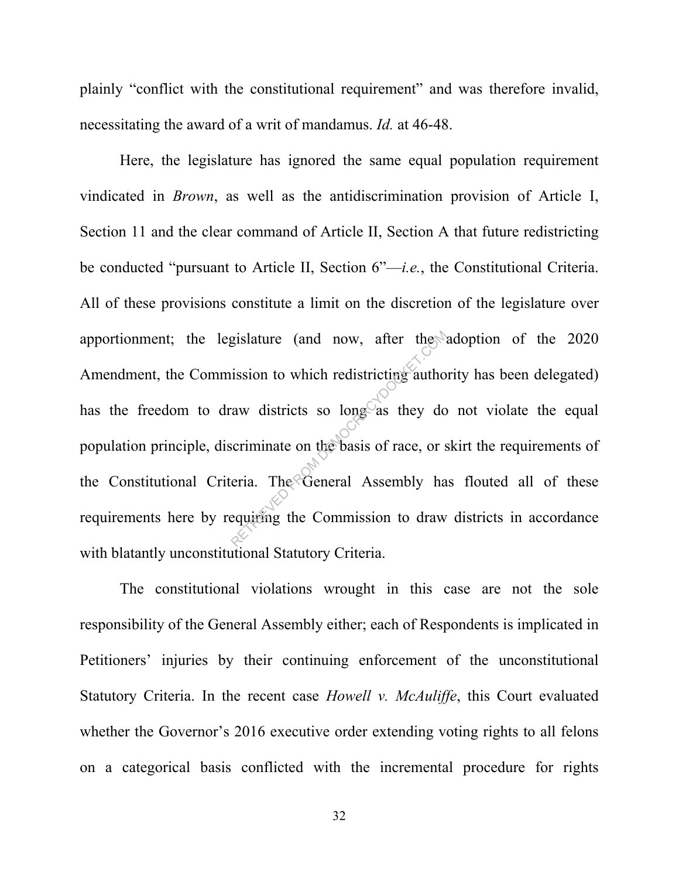plainly "conflict with the constitutional requirement" and was therefore invalid, necessitating the award of a writ of mandamus. *Id.* at 46-48.

Here, the legislature has ignored the same equal population requirement vindicated in *Brown*, as well as the antidiscrimination provision of Article I, Section 11 and the clear command of Article II, Section A that future redistricting be conducted "pursuant to Article II, Section 6"—*i.e.*, the Constitutional Criteria. All of these provisions constitute a limit on the discretion of the legislature over apportionment; the legislature (and now, after the adoption of the 2020 Amendment, the Commission to which redistricting authority has been delegated) has the freedom to draw districts so long as they do not violate the equal population principle, discriminate on the basis of race, or skirt the requirements of the Constitutional Criteria. The General Assembly has flouted all of these requirements here by requiring the Commission to draw districts in accordance with blatantly unconstitutional Statutory Criteria. gislature (and now, after the<br>ission to which redistricting author<br>aw districts so long as they do<br>scriminate on the basis of race, or s<br>eria. The General Assembly ha<br>equiting the Commission to draw

The constitutional violations wrought in this case are not the sole responsibility of the General Assembly either; each of Respondents is implicated in Petitioners' injuries by their continuing enforcement of the unconstitutional Statutory Criteria. In the recent case *Howell v. McAuliffe*, this Court evaluated whether the Governor's 2016 executive order extending voting rights to all felons on a categorical basis conflicted with the incremental procedure for rights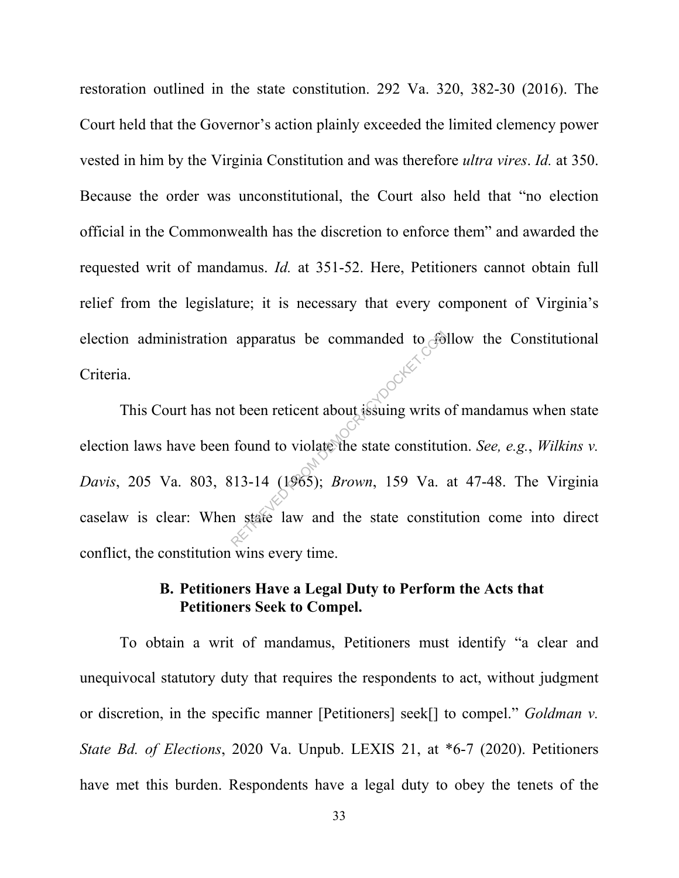restoration outlined in the state constitution. 292 Va. 320, 382-30 (2016). The Court held that the Governor's action plainly exceeded the limited clemency power vested in him by the Virginia Constitution and was therefore *ultra vires*. *Id.* at 350. Because the order was unconstitutional, the Court also held that "no election official in the Commonwealth has the discretion to enforce them" and awarded the requested writ of mandamus. *Id.* at 351-52. Here, Petitioners cannot obtain full relief from the legislature; it is necessary that every component of Virginia's election administration apparatus be commanded to follow the Constitutional Criteria. This Court has not been reticent about issuing writs of mandamus when state

election laws have been found to violate the state constitution. *See, e.g.*, *Wilkins v. Davis*, 205 Va. 803, 813-14 (1965); *Brown*, 159 Va. at 47-48. The Virginia caselaw is clear: When state law and the state constitution come into direct conflict, the constitution wins every time. apparatus be commanded to  $\epsilon$ <br>t been reticent about issuing writs of<br>found to violate the state constitute<br>313-14 (1965); *Brown*, 159 Va.

#### **B. Petitioners Have a Legal Duty to Perform the Acts that Petitioners Seek to Compel.**

To obtain a writ of mandamus, Petitioners must identify "a clear and unequivocal statutory duty that requires the respondents to act, without judgment or discretion, in the specific manner [Petitioners] seek[] to compel." *Goldman v. State Bd. of Elections*, 2020 Va. Unpub. LEXIS 21, at \*6-7 (2020). Petitioners have met this burden. Respondents have a legal duty to obey the tenets of the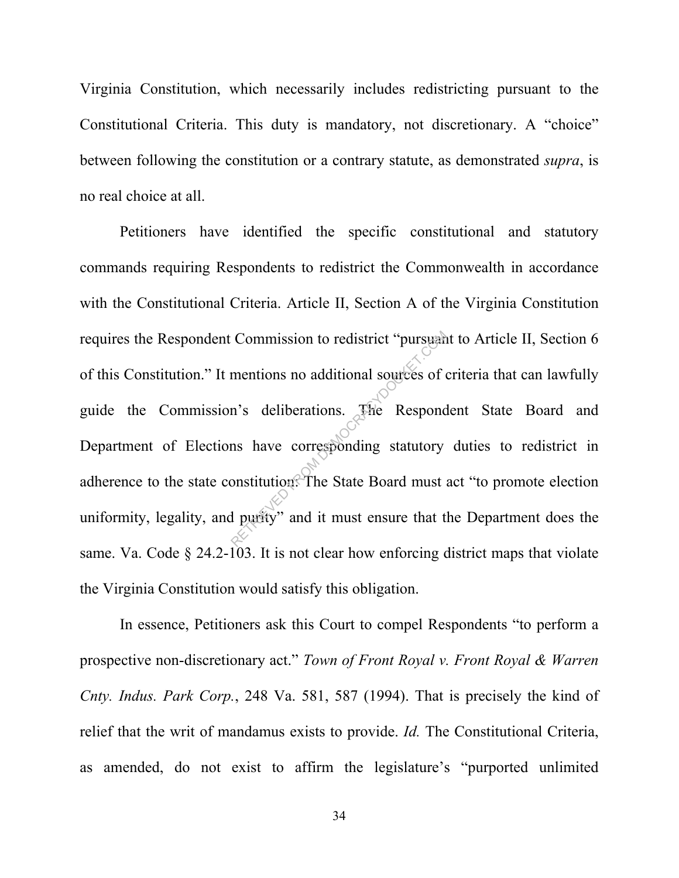Virginia Constitution, which necessarily includes redistricting pursuant to the Constitutional Criteria. This duty is mandatory, not discretionary. A "choice" between following the constitution or a contrary statute, as demonstrated *supra*, is no real choice at all.

Petitioners have identified the specific constitutional and statutory commands requiring Respondents to redistrict the Commonwealth in accordance with the Constitutional Criteria. Article II, Section A of the Virginia Constitution requires the Respondent Commission to redistrict "pursuant to Article II, Section 6 of this Constitution." It mentions no additional sources of criteria that can lawfully guide the Commission's deliberations. The Respondent State Board and Department of Elections have corresponding statutory duties to redistrict in adherence to the state constitution: The State Board must act "to promote election uniformity, legality, and purity" and it must ensure that the Department does the same. Va. Code  $\S$  24.2-103. It is not clear how enforcing district maps that violate the Virginia Constitution would satisfy this obligation. Commission to redistrict "pursuand<br>mentions no additional sources of or<br>n's deliberations. The Respond<br>ns have corresponding statutory<br>onstitution. The State Board must all purity" and it must ensure that t

In essence, Petitioners ask this Court to compel Respondents "to perform a prospective non-discretionary act." *Town of Front Royal v. Front Royal & Warren Cnty. Indus. Park Corp.*, 248 Va. 581, 587 (1994). That is precisely the kind of relief that the writ of mandamus exists to provide. *Id.* The Constitutional Criteria, as amended, do not exist to affirm the legislature's "purported unlimited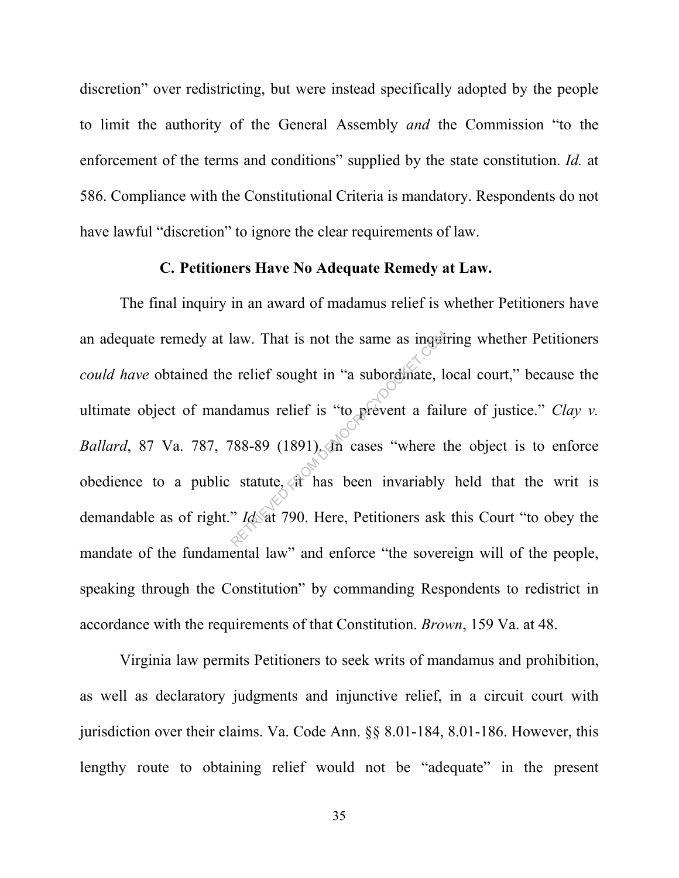discretion" over redistricting, but were instead specifically adopted by the people to limit the authority of the General Assembly *and* the Commission "to the enforcement of the terms and conditions" supplied by the state constitution. *Id.* at 586. Compliance with the Constitutional Criteria is mandatory. Respondents do not have lawful "discretion" to ignore the clear requirements of law.

#### **C. Petitioners Have No Adequate Remedy at Law.**

The final inquiry in an award of madamus relief is whether Petitioners have an adequate remedy at law. That is not the same as inquiring whether Petitioners *could have* obtained the relief sought in "a subordinate, local court," because the ultimate object of mandamus relief is "to prevent a failure of justice." *Clay v. Ballard*, 87 Va. 787, 788-89 (1891). In cases "where the object is to enforce obedience to a public statute,  $\sqrt{x}$  has been invariably held that the writ is demandable as of right." *Id.* at 790. Here, Petitioners ask this Court "to obey the mandate of the fundamental law" and enforce "the sovereign will of the people, speaking through the Constitution" by commanding Respondents to redistrict in accordance with the requirements of that Constitution. *Brown*, 159 Va. at 48. Frequences in the same as inquired the same as inquired the comparation of the damus relief is "to prevent a fail of the seasons" (1891). The cases "where the statute,  $\alpha$  has been invariably " Id at 790. Here, Petitione

Virginia law permits Petitioners to seek writs of mandamus and prohibition, as well as declaratory judgments and injunctive relief, in a circuit court with jurisdiction over their claims. Va. Code Ann. §§ 8.01-184, 8.01-186. However, this lengthy route to obtaining relief would not be "adequate" in the present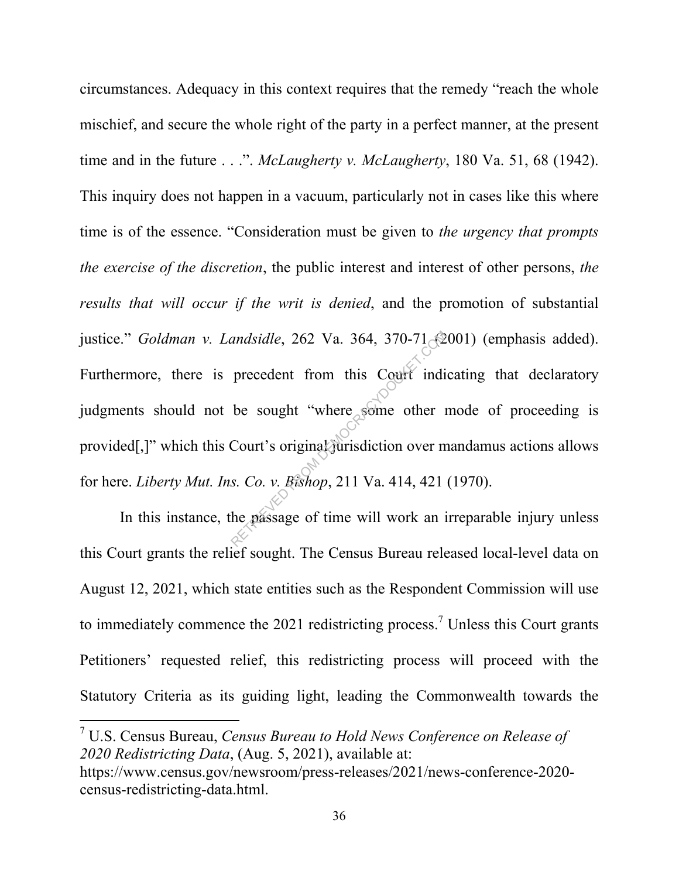circumstances. Adequacy in this context requires that the remedy "reach the whole mischief, and secure the whole right of the party in a perfect manner, at the present time and in the future . . .". *McLaugherty v. McLaugherty*, 180 Va. 51, 68 (1942). This inquiry does not happen in a vacuum, particularly not in cases like this where time is of the essence. "Consideration must be given to *the urgency that prompts the exercise of the discretion*, the public interest and interest of other persons, *the results that will occur if the writ is denied*, and the promotion of substantial justice." *Goldman v. Landsidle*, 262 Va. 364, 370-71 (2001) (emphasis added). Furthermore, there is precedent from this Court indicating that declaratory judgments should not be sought "where some other mode of proceeding is provided[,]" which this Court's original jurisdiction over mandamus actions allows for here. *Liberty Mut. Ins. Co. v. Bishop*, 211 Va. 414, 421 (1970). andsidle, 262 Va. 364, 370-71<br>precedent from this Court indi<br>be sought "where some other 1<br>Court's original jurisdiction over m<br>s. Co. v. Bishop, 211 Va. 414, 421<br>he passage of time will work an i

In this instance, the passage of time will work an irreparable injury unless this Court grants the relief sought. The Census Bureau released local-level data on August 12, 2021, which state entities such as the Respondent Commission will use to immediately commence the 2021 redistricting process.<sup>7</sup> Unless this Court grants Petitioners' requested relief, this redistricting process will proceed with the Statutory Criteria as its guiding light, leading the Commonwealth towards the

7 U.S. Census Bureau, *Census Bureau to Hold News Conference on Release of 2020 Redistricting Data*, (Aug. 5, 2021), available at: https://www.census.gov/newsroom/press-releases/2021/news-conference-2020 census-redistricting-data.html.

 $\overline{a}$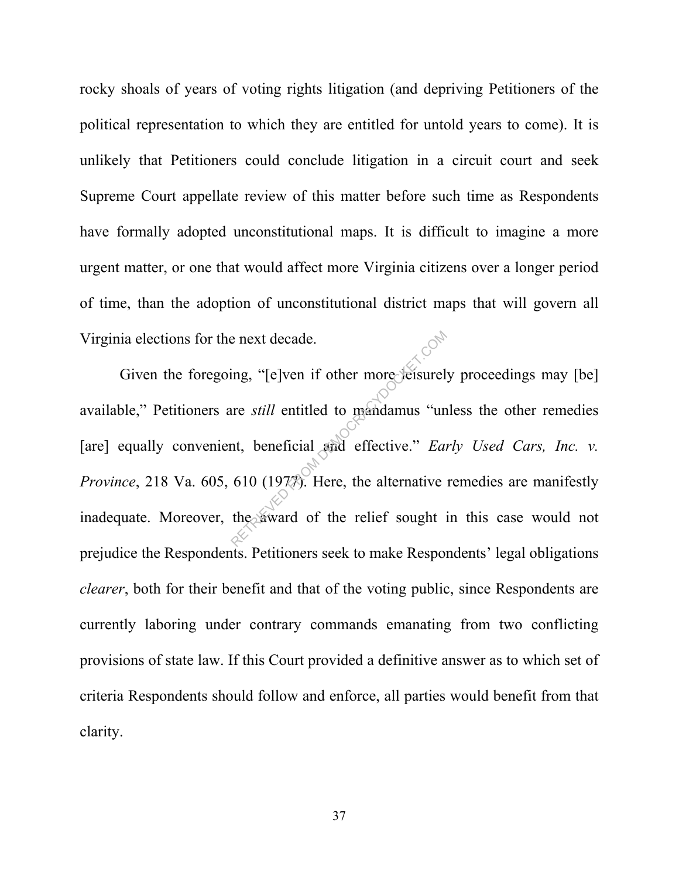rocky shoals of years of voting rights litigation (and depriving Petitioners of the political representation to which they are entitled for untold years to come). It is unlikely that Petitioners could conclude litigation in a circuit court and seek Supreme Court appellate review of this matter before such time as Respondents have formally adopted unconstitutional maps. It is difficult to imagine a more urgent matter, or one that would affect more Virginia citizens over a longer period of time, than the adoption of unconstitutional district maps that will govern all Virginia elections for the next decade.

Given the foregoing, "[e]ven if other more leisurely proceedings may [be] available," Petitioners are *still* entitled to mandamus "unless the other remedies [are] equally convenient, beneficial and effective." *Early Used Cars, Inc. v. Province*, 218 Va. 605, 610 (1977). Here, the alternative remedies are manifestly inadequate. Moreover, the award of the relief sought in this case would not prejudice the Respondents. Petitioners seek to make Respondents' legal obligations *clearer*, both for their benefit and that of the voting public, since Respondents are currently laboring under contrary commands emanating from two conflicting provisions of state law. If this Court provided a definitive answer as to which set of criteria Respondents should follow and enforce, all parties would benefit from that clarity. re still entitled to mandamus "un<br>the still entitled to mandamus "un<br>the beneficial and effective." Earth 610 (1977). Here, the alternative<br>the award of the relief sought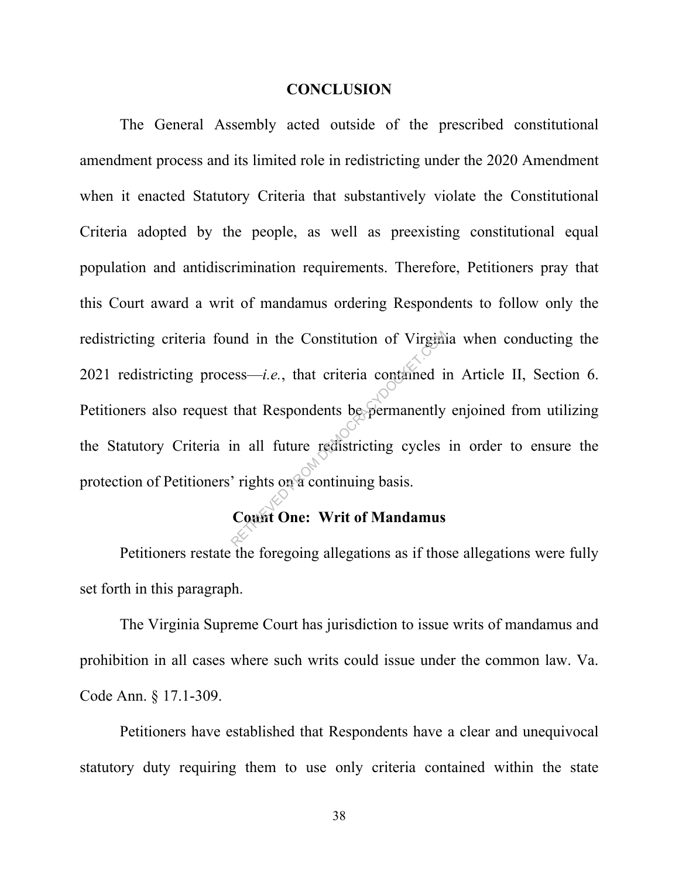#### **CONCLUSION**

The General Assembly acted outside of the prescribed constitutional amendment process and its limited role in redistricting under the 2020 Amendment when it enacted Statutory Criteria that substantively violate the Constitutional Criteria adopted by the people, as well as preexisting constitutional equal population and antidiscrimination requirements. Therefore, Petitioners pray that this Court award a writ of mandamus ordering Respondents to follow only the redistricting criteria found in the Constitution of Virginia when conducting the 2021 redistricting process—*i.e.*, that criteria contained in Article II, Section 6. Petitioners also request that Respondents be permanently enjoined from utilizing the Statutory Criteria in all future redistricting cycles in order to ensure the protection of Petitioners' rights on a continuing basis. and in the Constitution of Virginian<br>
ess—*i.e.*, that criteria contained is<br>
that Respondents be permanently<br>
in all future redistricting cycles<br>
rights on a continuing basis.<br>
Count One: Writ of Mandamus

## **Count One: Writ of Mandamus**

 Petitioners restate the foregoing allegations as if those allegations were fully set forth in this paragraph.

The Virginia Supreme Court has jurisdiction to issue writs of mandamus and prohibition in all cases where such writs could issue under the common law. Va. Code Ann. § 17.1-309.

Petitioners have established that Respondents have a clear and unequivocal statutory duty requiring them to use only criteria contained within the state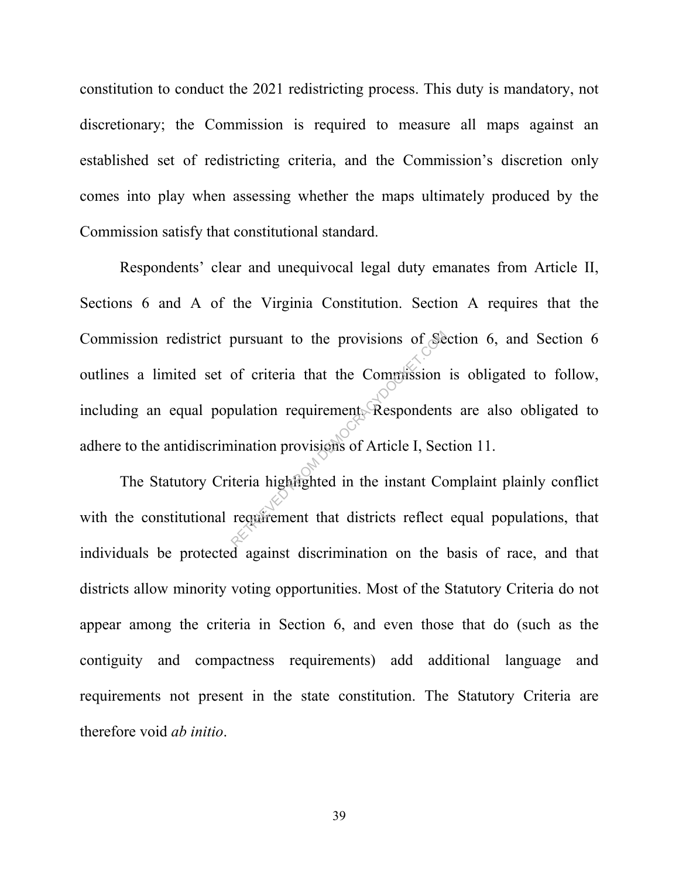constitution to conduct the 2021 redistricting process. This duty is mandatory, not discretionary; the Commission is required to measure all maps against an established set of redistricting criteria, and the Commission's discretion only comes into play when assessing whether the maps ultimately produced by the Commission satisfy that constitutional standard.

 Respondents' clear and unequivocal legal duty emanates from Article II, Sections 6 and A of the Virginia Constitution. Section A requires that the Commission redistrict pursuant to the provisions of Section 6, and Section 6 outlines a limited set of criteria that the Commission is obligated to follow, including an equal population requirement. Respondents are also obligated to adhere to the antidiscrimination provisions of Article I, Section 11. pursuant to the provisions of Set<br>of criteria that the Commission<br>bulation requirement. Respondents<br>initian provisions of Article I, Sect<br>teria highlighted in the instant Content that districts reflect

The Statutory Criteria highlighted in the instant Complaint plainly conflict with the constitutional requirement that districts reflect equal populations, that individuals be protected against discrimination on the basis of race, and that districts allow minority voting opportunities. Most of the Statutory Criteria do not appear among the criteria in Section 6, and even those that do (such as the contiguity and compactness requirements) add additional language and requirements not present in the state constitution. The Statutory Criteria are therefore void *ab initio*.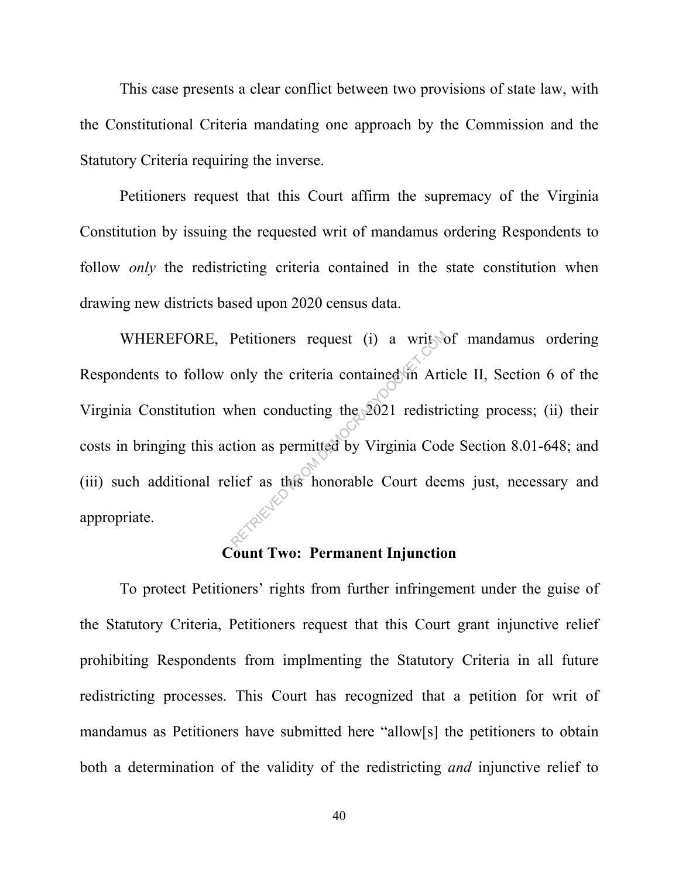This case presents a clear conflict between two provisions of state law, with the Constitutional Criteria mandating one approach by the Commission and the Statutory Criteria requiring the inverse.

Petitioners request that this Court affirm the supremacy of the Virginia Constitution by issuing the requested writ of mandamus ordering Respondents to follow *only* the redistricting criteria contained in the state constitution when drawing new districts based upon 2020 census data.

WHEREFORE, Petitioners request (i) a write of mandamus ordering Respondents to follow only the criteria contained in Article II, Section 6 of the Virginia Constitution when conducting the 2021 redistricting process; (ii) their costs in bringing this action as permitted by Virginia Code Section 8.01-648; and (iii) such additional relief as this honorable Court deems just, necessary and appropriate. Petitioners request (i) a writted<br>only the criteria contained in Artis<br>when conducting the 2021 redistriction as permitted by Virginia Cod<br>lief as this honorable Court dee

## **Count Two: Permanent Injunction**

 To protect Petitioners' rights from further infringement under the guise of the Statutory Criteria, Petitioners request that this Court grant injunctive relief prohibiting Respondents from implmenting the Statutory Criteria in all future redistricting processes. This Court has recognized that a petition for writ of mandamus as Petitioners have submitted here "allow[s] the petitioners to obtain both a determination of the validity of the redistricting *and* injunctive relief to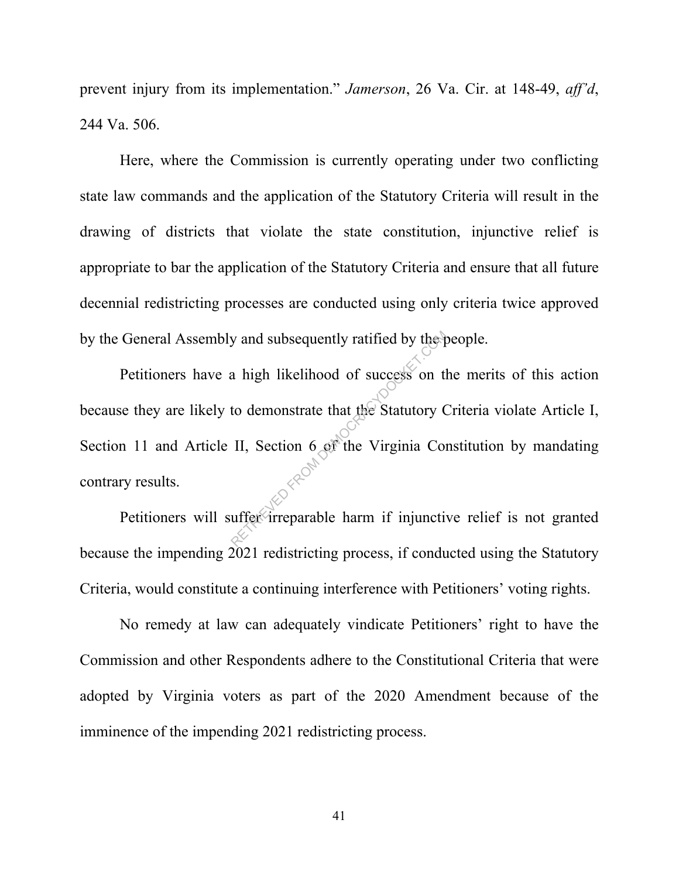prevent injury from its implementation." *Jamerson*, 26 Va. Cir. at 148-49, *aff'd*, 244 Va. 506.

Here, where the Commission is currently operating under two conflicting state law commands and the application of the Statutory Criteria will result in the drawing of districts that violate the state constitution, injunctive relief is appropriate to bar the application of the Statutory Criteria and ensure that all future decennial redistricting processes are conducted using only criteria twice approved by the General Assembly and subsequently ratified by the people.

Petitioners have a high likelihood of success on the merits of this action because they are likely to demonstrate that the Statutory Criteria violate Article I, Section 11 and Article II, Section 6 of the Virginia Constitution by mandating contrary results. The particular state of the particular state of the Statutory<br>demonstrate that the Statutory C<br>II, Section 6 of the Virginia Contraction of the Virginia Contraction<br>uffer irreparable harm if injunction

Petitioners will suffer irreparable harm if injunctive relief is not granted because the impending 2021 redistricting process, if conducted using the Statutory Criteria, would constitute a continuing interference with Petitioners' voting rights.

 No remedy at law can adequately vindicate Petitioners' right to have the Commission and other Respondents adhere to the Constitutional Criteria that were adopted by Virginia voters as part of the 2020 Amendment because of the imminence of the impending 2021 redistricting process.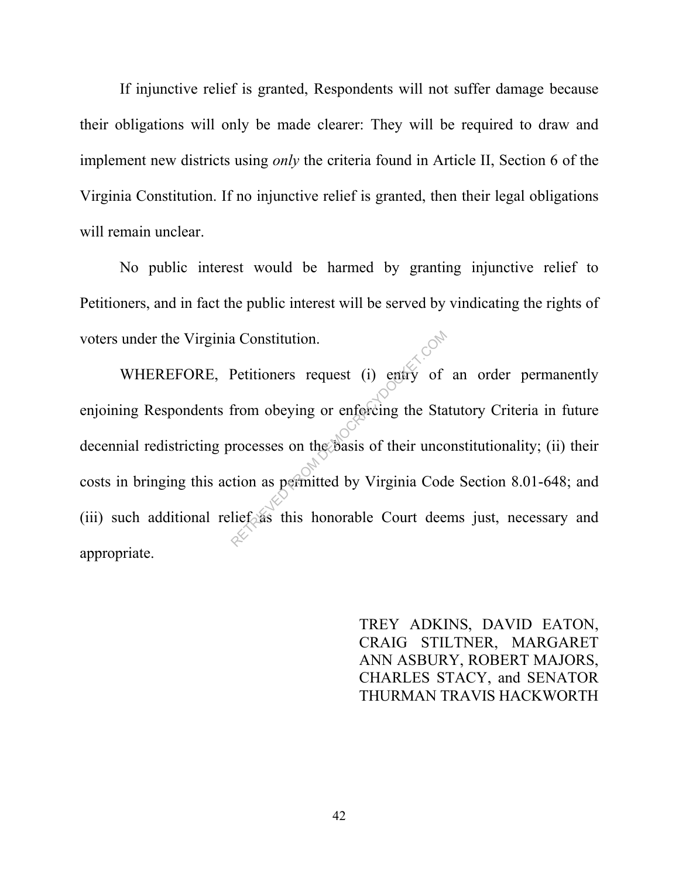If injunctive relief is granted, Respondents will not suffer damage because their obligations will only be made clearer: They will be required to draw and implement new districts using *only* the criteria found in Article II, Section 6 of the Virginia Constitution. If no injunctive relief is granted, then their legal obligations will remain unclear.

 No public interest would be harmed by granting injunctive relief to Petitioners, and in fact the public interest will be served by vindicating the rights of voters under the Virginia Constitution.

WHEREFORE, Petitioners request (i) entry of an order permanently enjoining Respondents from obeying or enforcing the Statutory Criteria in future decennial redistricting processes on the basis of their unconstitutionality; (ii) their costs in bringing this action as permitted by Virginia Code Section 8.01-648; and (iii) such additional relief as this honorable Court deems just, necessary and appropriate. Retitioners request (i) entry of<br>from obeying or enforcing the Star<br>processes on the basis of their unce<br>tion as permitted by Virginia Cod<br>lief as this honorable Court dee

> TREY ADKINS, DAVID EATON, CRAIG STILTNER, MARGARET ANN ASBURY, ROBERT MAJORS, CHARLES STACY, and SENATOR THURMAN TRAVIS HACKWORTH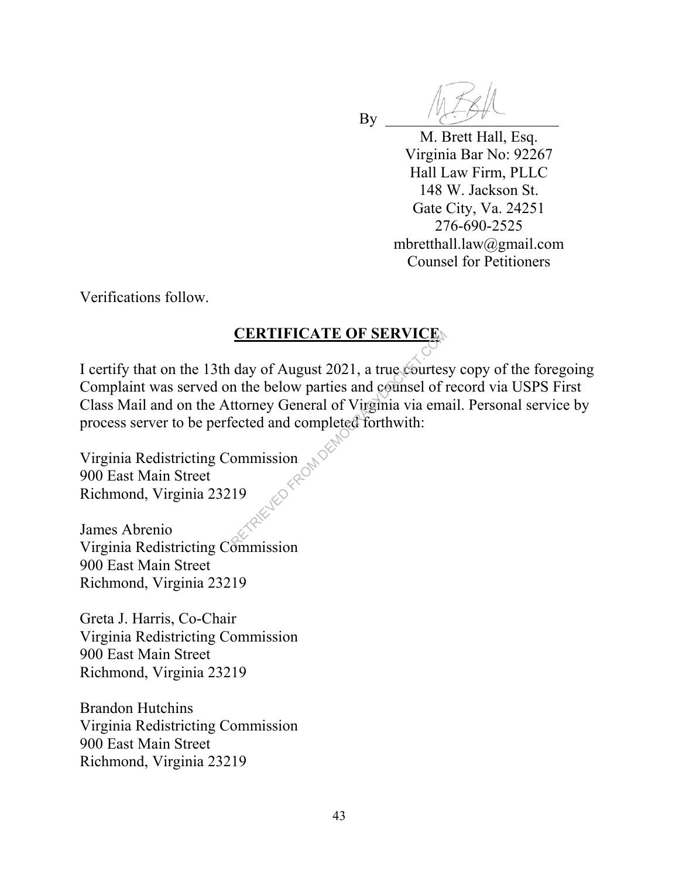M. Brett Hall, Esq. Virginia Bar No: 92267 Hall Law Firm, PLLC 148 W. Jackson St. Gate City, Va. 24251 276-690-2525 mbretthall.law@gmail.com Counsel for Petitioners

Verifications follow.

## **CERTIFICATE OF SERVICE**

**B**<sub>V</sub>

I certify that on the 13th day of August 2021, a true courtesy copy of the foregoing Complaint was served on the below parties and counsel of record via USPS First Class Mail and on the Attorney General of Virginia via email. Personal service by process server to be perfected and completed forthwith: CERTIFICATE OF SERVICE.<br>
day of August 2021, a true courtes<br>
in the below parties and counsel of if<br>
ttorney General of Virginia via emission<br>
ected and completed forthwith:<br>
ommission

Virginia Redistricting Commission 900 East Main Street Richmond, Virginia 23219

James Abrenio Virginia Redistricting Commission 900 East Main Street Richmond, Virginia 23219

Greta J. Harris, Co-Chair Virginia Redistricting Commission 900 East Main Street Richmond, Virginia 23219

Brandon Hutchins Virginia Redistricting Commission 900 East Main Street Richmond, Virginia 23219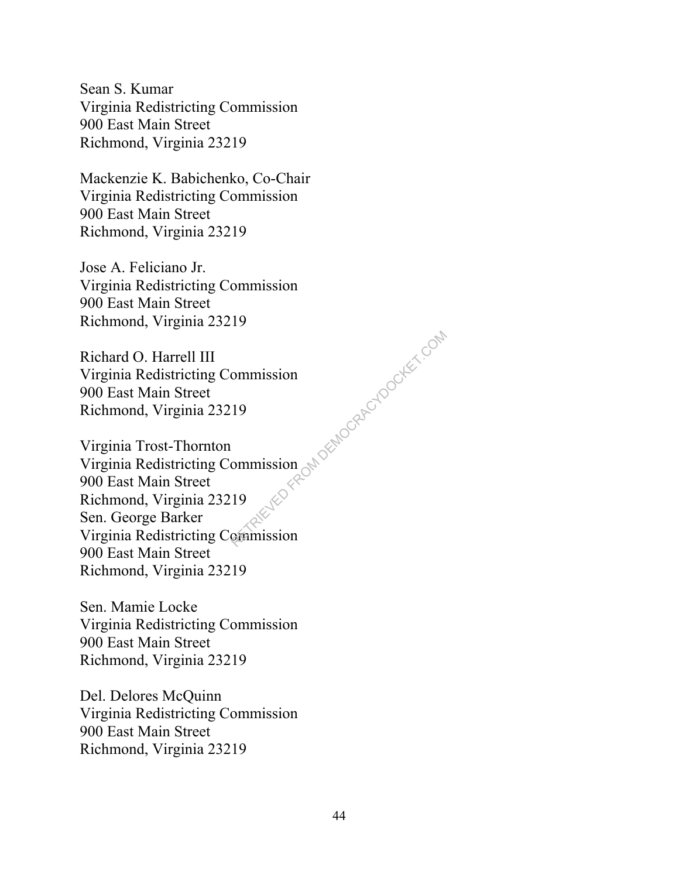Sean S. Kumar Virginia Redistricting Commission 900 East Main Street Richmond, Virginia 23219

Mackenzie K. Babichenko, Co-Chair Virginia Redistricting Commission 900 East Main Street Richmond, Virginia 23219

Jose A. Feliciano Jr. Virginia Redistricting Commission 900 East Main Street Richmond, Virginia 23219

Richard O. Harrell III Virginia Redistricting Commission 900 East Main Street Richmond, Virginia 23219

Virginia Trost-Thornton Virginia Redistricting Commission 900 East Main Street Richmond, Virginia 23219 Sen. George Barker Virginia Redistricting Commission 900 East Main Street Richmond, Virginia 23219 ommission<br>19<br>Commission Canadian Democratic Commission

Sen. Mamie Locke Virginia Redistricting Commission 900 East Main Street Richmond, Virginia 23219

Del. Delores McQuinn Virginia Redistricting Commission 900 East Main Street Richmond, Virginia 23219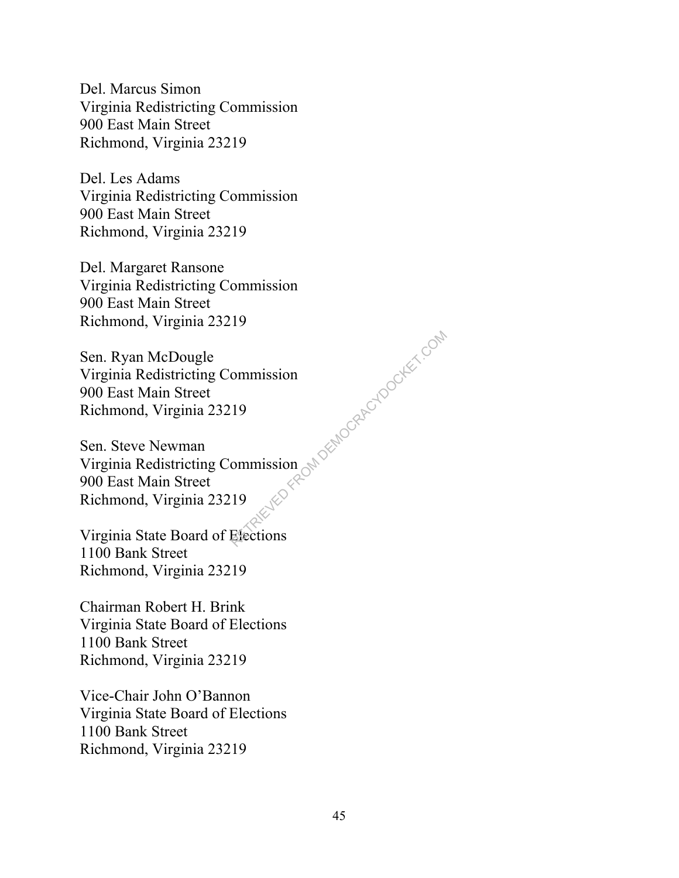Del. Marcus Simon Virginia Redistricting Commission 900 East Main Street Richmond, Virginia 23219

Del. Les Adams Virginia Redistricting Commission 900 East Main Street Richmond, Virginia 23219

Del. Margaret Ransone Virginia Redistricting Commission 900 East Main Street Richmond, Virginia 23219

Sen. Ryan McDougle Virginia Redistricting Commission 900 East Main Street Richmond, Virginia 23219

Sen. Steve Newman Virginia Redistricting Commission 900 East Main Street Richmond, Virginia 23219 ommission<br>19<br>In Capaca Retrieved From Democratic Components<br>19

Virginia State Board of Elections 1100 Bank Street Richmond, Virginia 23219

Chairman Robert H. Brink Virginia State Board of Elections 1100 Bank Street Richmond, Virginia 23219

Vice-Chair John O'Bannon Virginia State Board of Elections 1100 Bank Street Richmond, Virginia 23219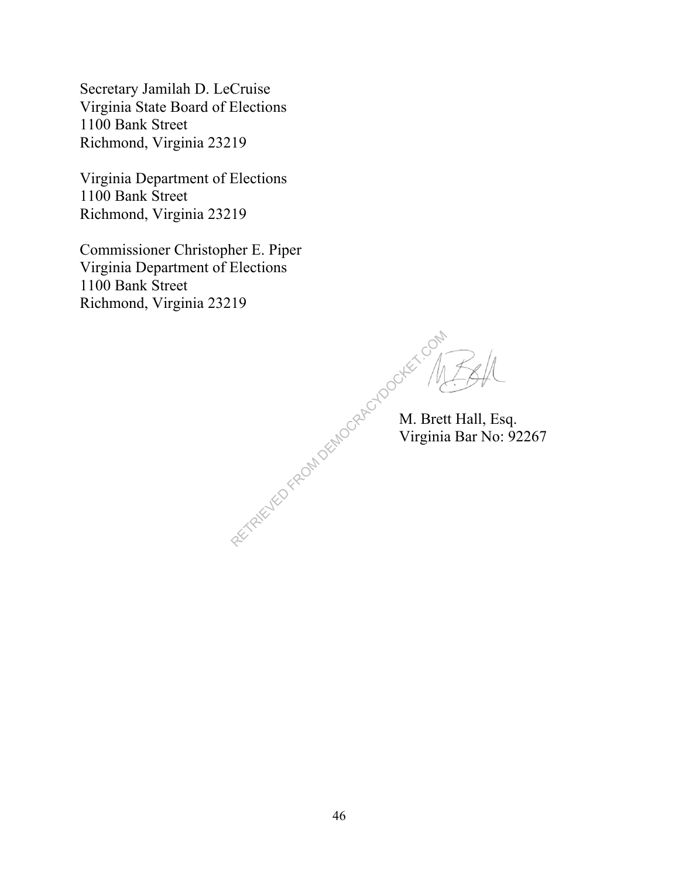Secretary Jamilah D. LeCruise Virginia State Board of Elections 1100 Bank Street Richmond, Virginia 23219

Virginia Department of Elections 1100 Bank Street Richmond, Virginia 23219

Commissioner Christopher E. Piper Virginia Department of Elections 1100 Bank Street Richmond, Virginia 23219

RETRIEVED FROM DEMOCRACYDOCKET. ON

 $\mathbb{R}^{\mathbb{R}^{\mathbb{N}}}$  M. Brett Hall, Esq. Virginia Bar No: 92267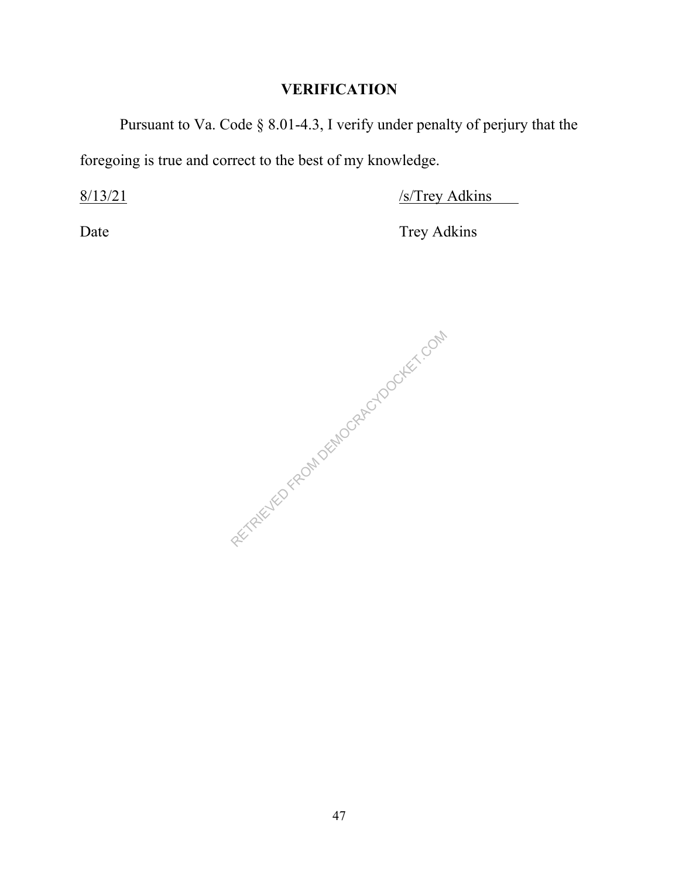Pursuant to Va. Code § 8.01-4.3, I verify under penalty of perjury that the foregoing is true and correct to the best of my knowledge.

8/13/21 /s/Trey Adkins

Date Trey Adkins

RETRIEVED FROM DEMOCRACYDOCKET.COM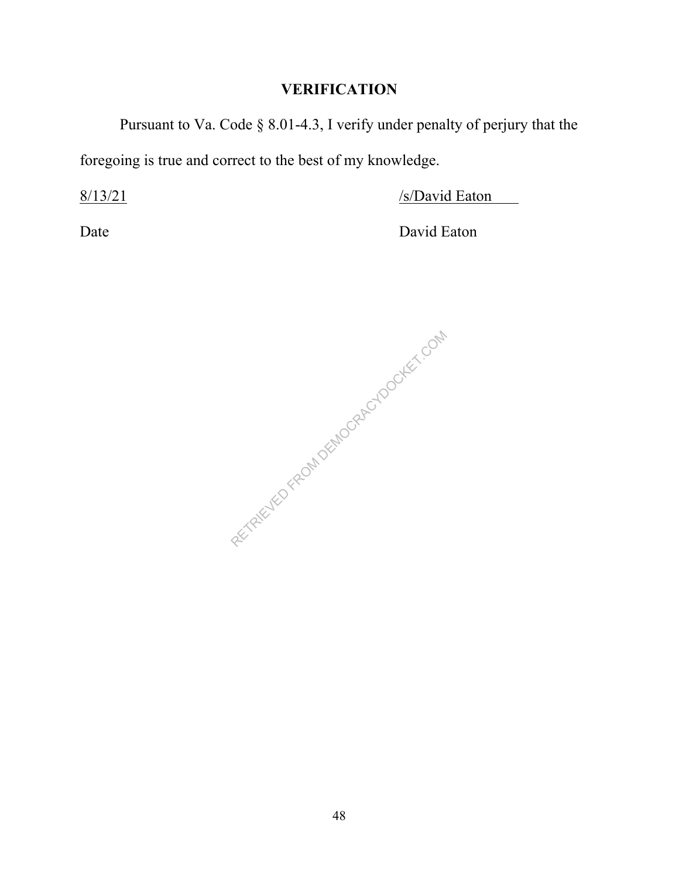Pursuant to Va. Code § 8.01-4.3, I verify under penalty of perjury that the foregoing is true and correct to the best of my knowledge.

 $8/13/21$  /s/David Eaton

Date David Eaton

RETRIEVED FROM DEMOCRACYDOCKET.COM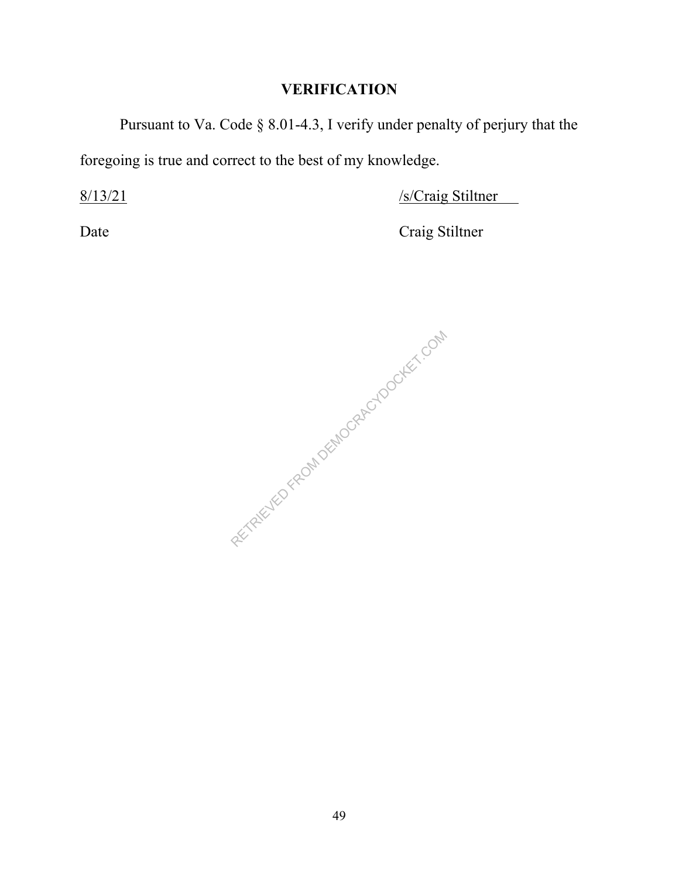Pursuant to Va. Code § 8.01-4.3, I verify under penalty of perjury that the foregoing is true and correct to the best of my knowledge.

8/13/21 /s/Craig Stiltner

Date Craig Stiltner

RETRIEVED FROM DEMOCRACYDOCKET.COM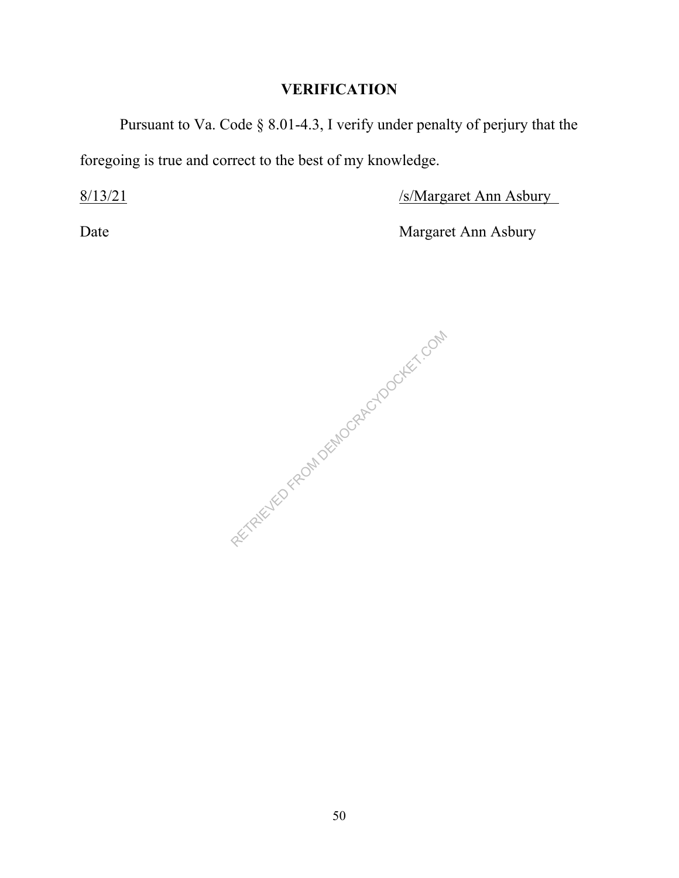Pursuant to Va. Code § 8.01-4.3, I verify under penalty of perjury that the foregoing is true and correct to the best of my knowledge.

8/13/21 /s/Margaret Ann Asbury

Date Margaret Ann Asbury

RETRIEVED FROM DEMOCRACYDOCKET.COM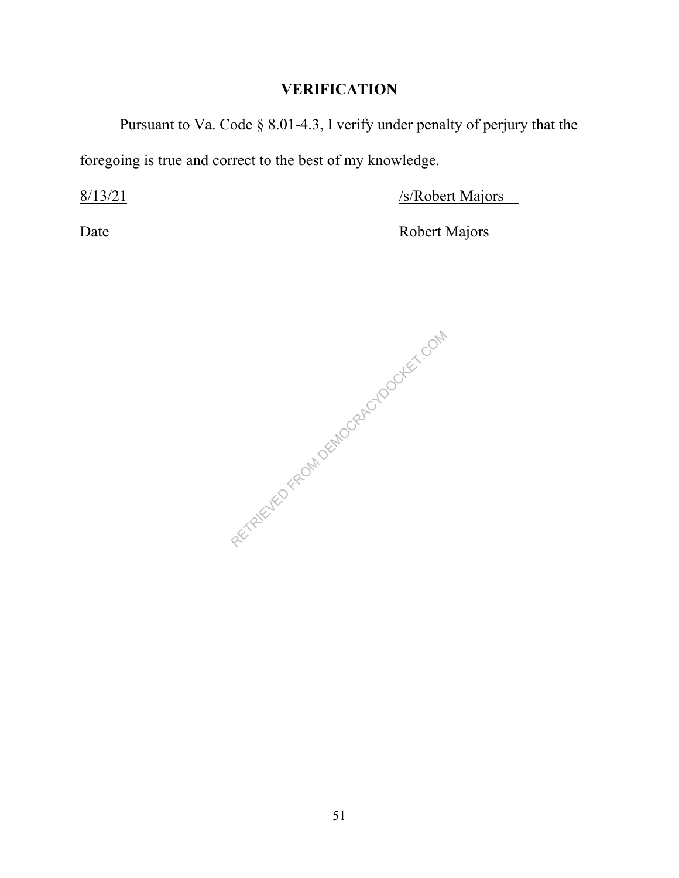Pursuant to Va. Code § 8.01-4.3, I verify under penalty of perjury that the foregoing is true and correct to the best of my knowledge.

8/13/21 /s/Robert Majors

Date Robert Majors

RETRIEVED FROM DEMOCRACYDOCKET.COM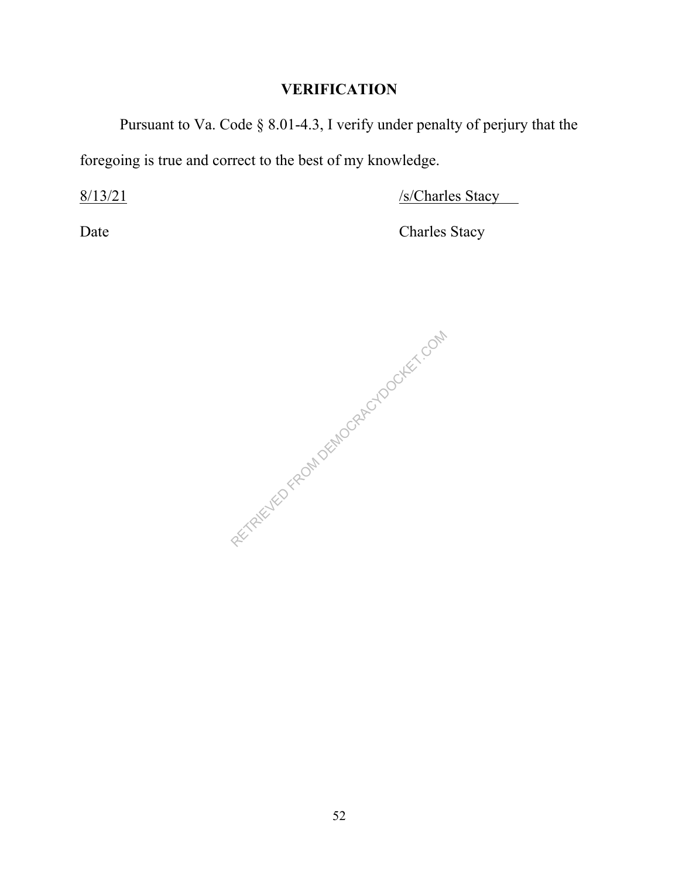Pursuant to Va. Code § 8.01-4.3, I verify under penalty of perjury that the foregoing is true and correct to the best of my knowledge.

 $8/13/21$  /s/Charles Stacy

Date Charles Stacy

RETRIEVED FROM DEMOCRACYDOCKET.COM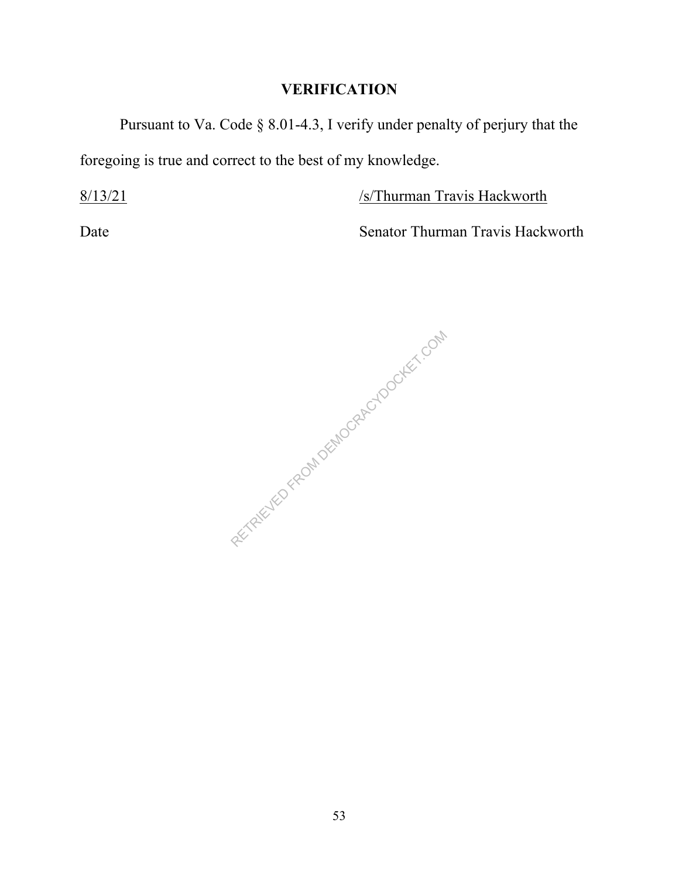Pursuant to Va. Code § 8.01-4.3, I verify under penalty of perjury that the foregoing is true and correct to the best of my knowledge.

8/13/21 /s/Thurman Travis Hackworth

Date Senator Thurman Travis Hackworth

RETRIEVED FROM DEMOCRACYDOCKET.COM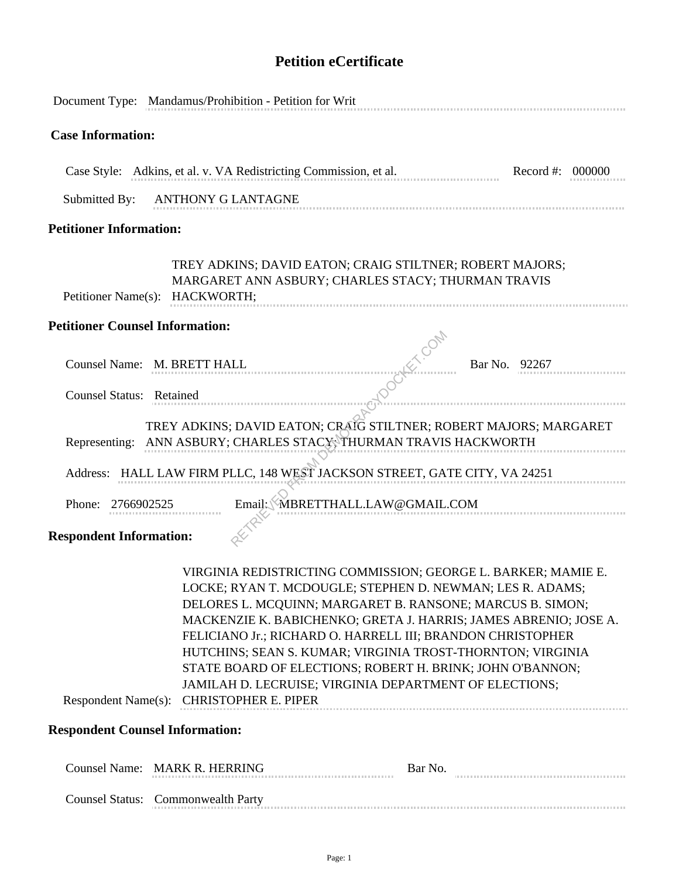## **Petition eCertificate**

|                                                                      | Document Type: Mandamus/Prohibition - Petition for Writ                                                                                                                                                                                                                                                                                                                                                                                                                                |                                 |                                                                  |
|----------------------------------------------------------------------|----------------------------------------------------------------------------------------------------------------------------------------------------------------------------------------------------------------------------------------------------------------------------------------------------------------------------------------------------------------------------------------------------------------------------------------------------------------------------------------|---------------------------------|------------------------------------------------------------------|
| <b>Case Information:</b>                                             |                                                                                                                                                                                                                                                                                                                                                                                                                                                                                        |                                 |                                                                  |
|                                                                      | Case Style: Adkins, et al. v. VA Redistricting Commission, et al.                                                                                                                                                                                                                                                                                                                                                                                                                      |                                 | Record #: 000000                                                 |
| Submitted By:                                                        | ANTHONY G LANTAGNE                                                                                                                                                                                                                                                                                                                                                                                                                                                                     |                                 |                                                                  |
| <b>Petitioner Information:</b>                                       |                                                                                                                                                                                                                                                                                                                                                                                                                                                                                        |                                 |                                                                  |
| Petitioner Name(s): HACKWORTH;                                       | TREY ADKINS; DAVID EATON; CRAIG STILTNER; ROBERT MAJORS;<br>MARGARET ANN ASBURY; CHARLES STACY; THURMAN TRAVIS                                                                                                                                                                                                                                                                                                                                                                         |                                 |                                                                  |
| <b>Petitioner Counsel Information:</b>                               |                                                                                                                                                                                                                                                                                                                                                                                                                                                                                        |                                 |                                                                  |
|                                                                      | Counsel Name: M. BRETT HALL                                                                                                                                                                                                                                                                                                                                                                                                                                                            |                                 | Bar No. 92267                                                    |
| Counsel Status: Retained                                             |                                                                                                                                                                                                                                                                                                                                                                                                                                                                                        |                                 |                                                                  |
| Representing:<br>Phone: 2766902525<br><b>Respondent Information:</b> | TREY ADKINS; DAVID EATON; CRAIG STILTNER; ROBERT MAJORS; MARGARET<br>ANN ASBURY; CHARLES STACY; THURMAN TRAVIS HACKWORTH<br>Address: HALL LAW FIRM PLLC, 148 WEST JACKSON STREET, GATE CITY, VA 24251                                                                                                                                                                                                                                                                                  | Email: MBRETTHALL.LAW@GMAIL.COM |                                                                  |
|                                                                      |                                                                                                                                                                                                                                                                                                                                                                                                                                                                                        |                                 |                                                                  |
|                                                                      | VIRGINIA REDISTRICTING COMMISSION; GEORGE L. BARKER; MAMIE E.<br>LOCKE; RYAN T. MCDOUGLE; STEPHEN D. NEWMAN; LES R. ADAMS;<br>DELORES L. MCQUINN; MARGARET B. RANSONE; MARCUS B. SIMON;<br>FELICIANO Jr.; RICHARD O. HARRELL III; BRANDON CHRISTOPHER<br>HUTCHINS; SEAN S. KUMAR; VIRGINIA TROST-THORNTON; VIRGINIA<br>STATE BOARD OF ELECTIONS; ROBERT H. BRINK; JOHN O'BANNON;<br>JAMILAH D. LECRUISE; VIRGINIA DEPARTMENT OF ELECTIONS;<br>Respondent Name(s): CHRISTOPHER E. PIPER |                                 | MACKENZIE K. BABICHENKO; GRETA J. HARRIS; JAMES ABRENIO; JOSE A. |
|                                                                      |                                                                                                                                                                                                                                                                                                                                                                                                                                                                                        |                                 |                                                                  |
| <b>Respondent Counsel Information:</b>                               |                                                                                                                                                                                                                                                                                                                                                                                                                                                                                        |                                 |                                                                  |
|                                                                      | Counsel Name: MARK R. HERRING                                                                                                                                                                                                                                                                                                                                                                                                                                                          | Bar No.                         |                                                                  |
|                                                                      | Counsel Status: Commonwealth Party                                                                                                                                                                                                                                                                                                                                                                                                                                                     |                                 |                                                                  |